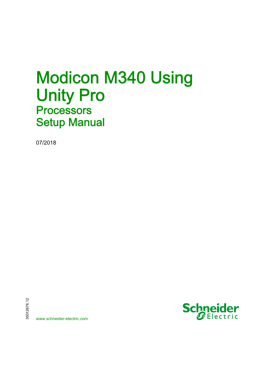# Modicon M340 Using Unity Pro **Processors** Setup Manual

07/2018



www.schneider-electric.com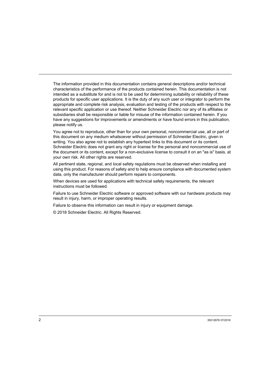The information provided in this documentation contains general descriptions and/or technical characteristics of the performance of the products contained herein. This documentation is not intended as a substitute for and is not to be used for determining suitability or reliability of these products for specific user applications. It is the duty of any such user or integrator to perform the appropriate and complete risk analysis, evaluation and testing of the products with respect to the relevant specific application or use thereof. Neither Schneider Electric nor any of its affiliates or subsidiaries shall be responsible or liable for misuse of the information contained herein. If you have any suggestions for improvements or amendments or have found errors in this publication, please notify us.

You agree not to reproduce, other than for your own personal, noncommercial use, all or part of this document on any medium whatsoever without permission of Schneider Electric, given in writing. You also agree not to establish any hypertext links to this document or its content. Schneider Electric does not grant any right or license for the personal and noncommercial use of the document or its content, except for a non-exclusive license to consult it on an "as is" basis, at your own risk. All other rights are reserved.

All pertinent state, regional, and local safety regulations must be observed when installing and using this product. For reasons of safety and to help ensure compliance with documented system data, only the manufacturer should perform repairs to components.

When devices are used for applications with technical safety requirements, the relevant instructions must be followed.

Failure to use Schneider Electric software or approved software with our hardware products may result in injury, harm, or improper operating results.

Failure to observe this information can result in injury or equipment damage.

© 2018 Schneider Electric. All Rights Reserved.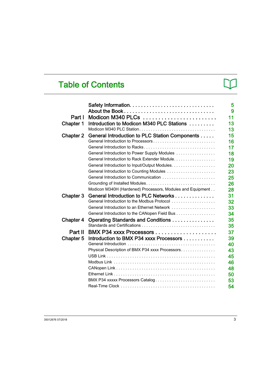# Table of Contents

| 15<br>General Introduction to PLC Station Components<br>Chapter 2<br>General Introduction to Processors<br>16<br>General Introduction to Racks<br>17<br>18<br>General Introduction to Power Supply Modules<br>General Introduction to Rack Extender Module.<br>19<br>General Introduction to Input/Output Modules.<br>20<br>23<br>General Introduction to Communication<br>25<br>26<br>Grounding of Installed Modules |
|-----------------------------------------------------------------------------------------------------------------------------------------------------------------------------------------------------------------------------------------------------------------------------------------------------------------------------------------------------------------------------------------------------------------------|
|                                                                                                                                                                                                                                                                                                                                                                                                                       |
|                                                                                                                                                                                                                                                                                                                                                                                                                       |
|                                                                                                                                                                                                                                                                                                                                                                                                                       |
|                                                                                                                                                                                                                                                                                                                                                                                                                       |
|                                                                                                                                                                                                                                                                                                                                                                                                                       |
|                                                                                                                                                                                                                                                                                                                                                                                                                       |
|                                                                                                                                                                                                                                                                                                                                                                                                                       |
|                                                                                                                                                                                                                                                                                                                                                                                                                       |
|                                                                                                                                                                                                                                                                                                                                                                                                                       |
| Modicon M340H (Hardened) Processors, Modules and Equipment<br>28                                                                                                                                                                                                                                                                                                                                                      |
| 31<br>General Introduction to PLC Networks<br>Chapter 3                                                                                                                                                                                                                                                                                                                                                               |
| General Introduction to the Modbus Protocol<br>32                                                                                                                                                                                                                                                                                                                                                                     |
| 33<br>General Introduction to an Ethernet Network                                                                                                                                                                                                                                                                                                                                                                     |
| General Introduction to the CANopen Field Bus<br>34                                                                                                                                                                                                                                                                                                                                                                   |
| 35<br>Operating Standards and Conditions<br><b>Chapter 4</b><br>35                                                                                                                                                                                                                                                                                                                                                    |
| Part II<br>37                                                                                                                                                                                                                                                                                                                                                                                                         |
| 39<br>Introduction to BMX P34 xxxx Processors<br>Chapter 5                                                                                                                                                                                                                                                                                                                                                            |
| 40                                                                                                                                                                                                                                                                                                                                                                                                                    |
| Physical Description of BMX P34 xxxx Processors<br>43                                                                                                                                                                                                                                                                                                                                                                 |
| 45                                                                                                                                                                                                                                                                                                                                                                                                                    |
| 46                                                                                                                                                                                                                                                                                                                                                                                                                    |
| 48                                                                                                                                                                                                                                                                                                                                                                                                                    |
| 50                                                                                                                                                                                                                                                                                                                                                                                                                    |
| BMX P34 xxxxx Processors Catalog<br>53                                                                                                                                                                                                                                                                                                                                                                                |
| 54                                                                                                                                                                                                                                                                                                                                                                                                                    |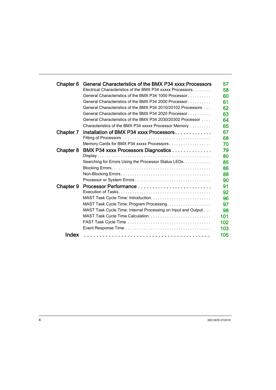| Chapter 6 | General Characteristics of the BMX P34 xxxx Processors        | 57  |
|-----------|---------------------------------------------------------------|-----|
|           | Electrical Characteristics of the BMX P34 xxxxx Processors    | 58  |
|           | General Characteristics of the BMX P34 1000 Processor         | 60  |
|           | General Characteristics of the BMX P34 2000 Processor         | 61  |
|           | General Characteristics of the BMX P34 2010/20102 Processors  | 62  |
|           | General Characteristics of the BMX P34 2020 Processor         | 63  |
|           | General Characteristics of the BMX P34 2030/20302 Processor   | 64  |
|           | Characteristics of the BMX P34 xxxxx Processor Memory         | 65  |
| Chapter 7 | Installation of BMX P34 xxxx Processors                       | 67  |
|           |                                                               | 68  |
|           | Memory Cards for BMX P34 xxxxx Processors                     | 70  |
| Chapter 8 | BMX P34 xxxx Processors Diagnostics                           | 79  |
|           |                                                               | 80  |
|           | Searching for Errors Using the Processor Status LEDs.         | 85  |
|           |                                                               | 86  |
|           |                                                               | 88  |
|           |                                                               | 90  |
| Chapter 9 |                                                               | 91  |
|           |                                                               | 92  |
|           |                                                               | 96  |
|           | MAST Task Cycle Time: Program Processing                      | 97  |
|           | MAST Task Cycle Time: Internal Processing on Input and Output | 98  |
|           |                                                               | 101 |
|           |                                                               | 102 |
|           |                                                               | 103 |
| Index     |                                                               | 105 |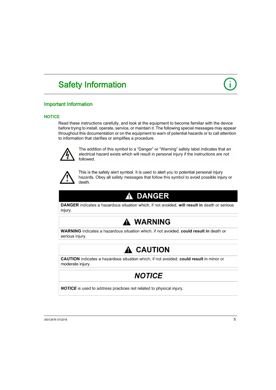# <span id="page-4-0"></span>Safety Information

# Important Information

### **NOTICE**

Read these instructions carefully, and look at the equipment to become familiar with the device before trying to install, operate, service, or maintain it. The following special messages may appear throughout this documentation or on the equipment to warn of potential hazards or to call attention to information that clarifies or simplifies a procedure.



The addition of this symbol to a "Danger" or "Warning" safety label indicates that an electrical hazard exists which will result in personal injury if the instructions are not followed.



This is the safety alert symbol. It is used to alert you to potential personal injury hazards. Obey all safety messages that follow this symbol to avoid possible injury or death.

# A DANGER

**DANGER** indicates a hazardous situation which, if not avoided, will result in death or serious injury.

# A WARNING

WARNING indicates a hazardous situation which, if not avoided, could result in death or serious injury.

# A CAUTION

CAUTION indicates a hazardous situation which, if not avoided, could result in minor or moderate injury.

# **NOTICE**

**NOTICE** is used to address practices not related to physical injury.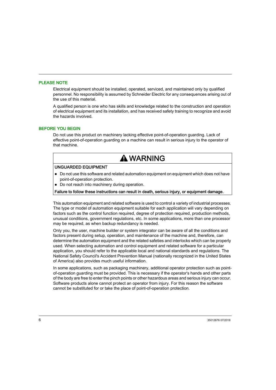#### PLEASE NOTE

Electrical equipment should be installed, operated, serviced, and maintained only by qualified personnel. No responsibility is assumed by Schneider Electric for any consequences arising out of the use of this material.

A qualified person is one who has skills and knowledge related to the construction and operation of electrical equipment and its installation, and has received safety training to recognize and avoid the hazards involved.

#### BEFORE YOU BEGIN

Do not use this product on machinery lacking effective point-of-operation guarding. Lack of effective point-of-operation guarding on a machine can result in serious injury to the operator of that machine.

# **A WARNING**

#### UNGUARDED EQUIPMENT

- Do not use this software and related automation equipment on equipment which does not have point-of-operation protection.
- Do not reach into machinery during operation.

#### Failure to follow these instructions can result in death, serious injury, or equipment damage.

This automation equipment and related software is used to control a variety of industrial processes. The type or model of automation equipment suitable for each application will vary depending on factors such as the control function required, degree of protection required, production methods, unusual conditions, government regulations, etc. In some applications, more than one processor may be required, as when backup redundancy is needed.

Only you, the user, machine builder or system integrator can be aware of all the conditions and factors present during setup, operation, and maintenance of the machine and, therefore, can determine the automation equipment and the related safeties and interlocks which can be properly used. When selecting automation and control equipment and related software for a particular application, you should refer to the applicable local and national standards and regulations. The National Safety Council's Accident Prevention Manual (nationally recognized in the United States of America) also provides much useful information.

In some applications, such as packaging machinery, additional operator protection such as pointof-operation guarding must be provided. This is necessary if the operator's hands and other parts of the body are free to enter the pinch points or other hazardous areas and serious injury can occur. Software products alone cannot protect an operator from injury. For this reason the software cannot be substituted for or take the place of point-of-operation protection.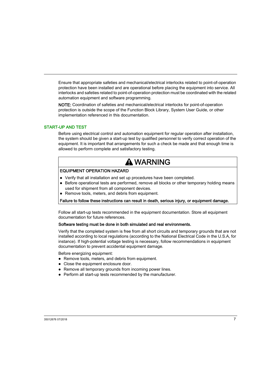Ensure that appropriate safeties and mechanical/electrical interlocks related to point-of-operation protection have been installed and are operational before placing the equipment into service. All interlocks and safeties related to point-of-operation protection must be coordinated with the related automation equipment and software programming.

NOTE: Coordination of safeties and mechanical/electrical interlocks for point-of-operation protection is outside the scope of the Function Block Library, System User Guide, or other implementation referenced in this documentation.

#### START-UP AND TEST

Before using electrical control and automation equipment for regular operation after installation, the system should be given a start-up test by qualified personnel to verify correct operation of the equipment. It is important that arrangements for such a check be made and that enough time is allowed to perform complete and satisfactory testing.

# **A WARNING**

#### EQUIPMENT OPERATION HAZARD

- Verify that all installation and set up procedures have been completed.
- Before operational tests are performed, remove all blocks or other temporary holding means used for shipment from all component devices.
- Remove tools, meters, and debris from equipment.

#### Failure to follow these instructions can result in death, serious injury, or equipment damage.

Follow all start-up tests recommended in the equipment documentation. Store all equipment documentation for future references.

#### Software testing must be done in both simulated and real environments.

Verify that the completed system is free from all short circuits and temporary grounds that are not installed according to local regulations (according to the National Electrical Code in the U.S.A, for instance). If high-potential voltage testing is necessary, follow recommendations in equipment documentation to prevent accidental equipment damage.

Before energizing equipment:

- Remove tools, meters, and debris from equipment.
- Close the equipment enclosure door.
- Remove all temporary grounds from incoming power lines.
- Perform all start-up tests recommended by the manufacturer.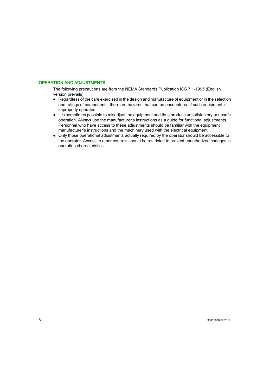#### OPERATION AND ADJUSTMENTS

The following precautions are from the NEMA Standards Publication ICS 7.1-1995 (English version prevails):

- Regardless of the care exercised in the design and manufacture of equipment or in the selection and ratings of components, there are hazards that can be encountered if such equipment is improperly operated.
- It is sometimes possible to misadjust the equipment and thus produce unsatisfactory or unsafe operation. Always use the manufacturer's instructions as a guide for functional adjustments. Personnel who have access to these adjustments should be familiar with the equipment manufacturer's instructions and the machinery used with the electrical equipment.
- Only those operational adjustments actually required by the operator should be accessible to the operator. Access to other controls should be restricted to prevent unauthorized changes in operating characteristics.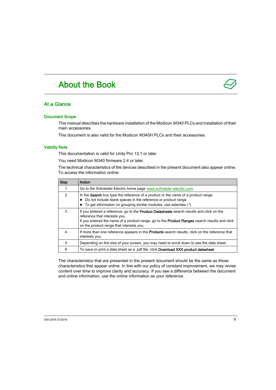# <span id="page-8-0"></span>About the Book

### At a Glance

#### Document Scope

This manual describes the hardware installation of the Modicon M340 PLCs and installation of their main accessories.

This document is also valid for the Modicon M340H PLCs and their accessories.

#### Validity Note

This documentation is valid for Unity Pro 13.1 or later.

You need Modicon M340 firmware 2.4 or later.

The technical characteristics of the devices described in the present document also appear online. To access the information online:

| <b>Step</b>   | Action                                                                                                                                                                                                                                                                        |
|---------------|-------------------------------------------------------------------------------------------------------------------------------------------------------------------------------------------------------------------------------------------------------------------------------|
|               | Go to the Schneider Electric home page <i>www.schneider-electric.com.</i>                                                                                                                                                                                                     |
| $\mathcal{P}$ | In the <b>Search</b> box type the reference of a product or the name of a product range.<br>Do not include blank spaces in the reference or product range.<br>To get information on grouping similar modules, use asterisks (*).                                              |
| 3             | If you entered a reference, go to the <b>Product Datasheets</b> search results and click on the<br>reference that interests you.<br>If you entered the name of a product range, go to the Product Ranges search results and click<br>on the product range that interests you. |
| 4             | If more than one reference appears in the <b>Products</b> search results, click on the reference that<br>interests you.                                                                                                                                                       |
| 5             | Depending on the size of your screen, you may need to scroll down to see the data sheet.                                                                                                                                                                                      |
| 6             | To save or print a data sheet as a .pdf file, click Download XXX product datasheet.                                                                                                                                                                                           |

The characteristics that are presented in the present document should be the same as those characteristics that appear online. In line with our policy of constant improvement, we may revise content over time to improve clarity and accuracy. If you see a difference between the document and online information, use the online information as your reference.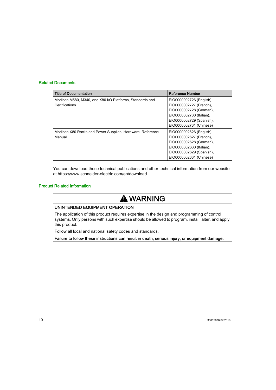#### Related Documents

| <b>Title of Documentation</b>                             | <b>Reference Number</b>  |
|-----------------------------------------------------------|--------------------------|
| Modicon M580, M340, and X80 I/O Platforms, Standards and  | EIO0000002726 (English), |
| Certifications                                            | EIO0000002727 (French),  |
|                                                           | EIO0000002728 (German),  |
|                                                           | EIO0000002730 (Italian), |
|                                                           | EIO0000002729 (Spanish), |
|                                                           | EIO0000002731 (Chinese)  |
| Modicon X80 Racks and Power Supplies, Hardware, Reference | EIO0000002626 (English), |
| Manual                                                    | EIO0000002627 (French),  |
|                                                           | EIO0000002628 (German),  |
|                                                           | EIO0000002630 (Italian), |
|                                                           | EIO0000002629 (Spanish), |
|                                                           | EIO0000002631 (Chinese)  |

You can download these technical publications and other technical information from our website at https://www.schneider-electric.com/en/download

#### Product Related Information

# **A WARNING**

#### UNINTENDED EQUIPMENT OPERATION

The application of this product requires expertise in the design and programming of control systems. Only persons with such expertise should be allowed to program, install, alter, and apply this product.

Follow all local and national safety codes and standards.

Failure to follow these instructions can result in death, serious injury, or equipment damage.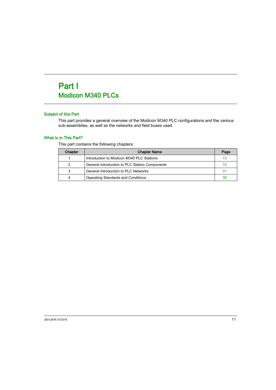# <span id="page-10-0"></span>Part I Modicon M340 PLCs

### Subject of this Part

This part provides a general overview of the Modicon M340 PLC configurations and the various sub-assemblies, as well as the networks and field buses used.

#### What Is in This Part?

This part contains the following chapters:

| Chapter | <b>Chapter Name</b>                            | Page |
|---------|------------------------------------------------|------|
|         | Introduction to Modicon M340 PLC Stations      | 13   |
| 2       | General Introduction to PLC Station Components | 15   |
| 3       | <b>General Introduction to PLC Networks</b>    | 31   |
| 4       | Operating Standards and Conditions             | 35   |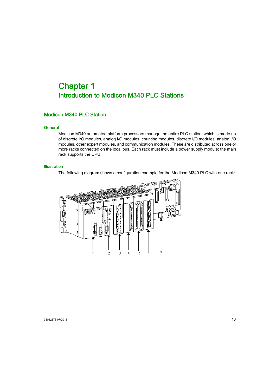# <span id="page-12-0"></span>Chapter 1 Introduction to Modicon M340 PLC Stations

### <span id="page-12-1"></span>Modicon M340 PLC Station

#### **General**

Modicon M340 automated platform processors manage the entire PLC station, which is made up of discrete I/O modules, analog I/O modules, counting modules, discrete I/O modules, analog I/O modules, other expert modules, and communication modules. These are distributed across one or more racks connected on the local bus. Each rack must include a power supply module; the main rack supports the CPU.

#### **Illustration**

The following diagram shows a configuration example for the Modicon M340 PLC with one rack:

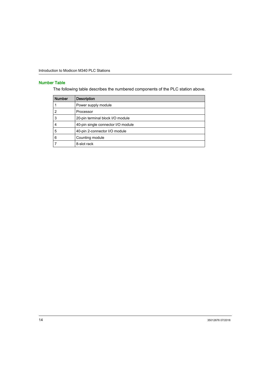### Number Table

The following table describes the numbered components of the PLC station above.

| <b>Number</b> | <b>Description</b>                 |
|---------------|------------------------------------|
|               | Power supply module                |
| 2             | Processor                          |
| 3             | 20-pin terminal block I/O module   |
|               | 40-pin single connector I/O module |
| 5             | 40-pin 2-connector I/O module      |
| 6             | Counting module                    |
|               | 8-slot rack                        |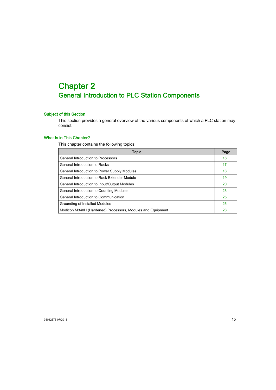# <span id="page-14-0"></span>**Chapter 2** General Introduction to PLC Station Components

#### Subject of this Section

This section provides a general overview of the various components of which a PLC station may consist.

#### What Is in This Chapter?

This chapter contains the following topics:

| Topic                                                      | Page |
|------------------------------------------------------------|------|
| General Introduction to Processors                         |      |
| General Introduction to Racks                              | 17   |
| General Introduction to Power Supply Modules               | 18   |
| General Introduction to Rack Extender Module               | 19   |
| General Introduction to Input/Output Modules               |      |
| General Introduction to Counting Modules                   |      |
| General Introduction to Communication                      |      |
| Grounding of Installed Modules                             |      |
| Modicon M340H (Hardened) Processors, Modules and Equipment |      |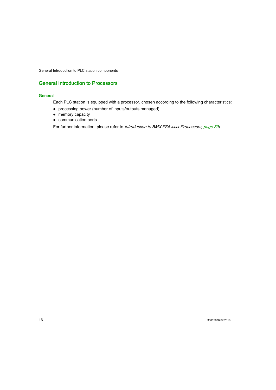### <span id="page-15-1"></span><span id="page-15-0"></span>General Introduction to Processors

#### **General**

Each PLC station is equipped with a processor, chosen according to the following characteristics:

- processing power (number of inputs/outputs managed)
- memory capacity
- communication ports

For further information, please refer to *Introduction to BMX P34 [xxxx Processors, page](#page-38-0) 39*).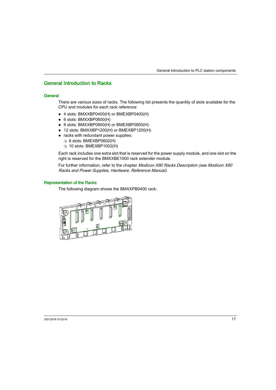### <span id="page-16-1"></span><span id="page-16-0"></span>General Introduction to Racks

#### **General**

There are various sizes of racks. The following list presents the quantity of slots available for the CPU and modules for each rack reference:

- 4 slots: BMXXBP0400(H) or BMEXBP0400(H)
- 6 slots: BMXXBP0600(H)
- 8 slots: BMXXBP0800(H) or BMEXBP0800(H)
- 12 slots: BMXXBP1200(H) or BMEXBP1200(H)
- racks with redundant power supplies:
	- 6 slots: BMEXBP0602(H)
	- 10 slots: BMEXBP1002(H)

Each rack includes one extra slot that is reserved for the power supply module, and one slot on the right is reserved for the BMXXBE1000 rack extender module.

For further information, refer to the chapter Modicon X80 Racks Description (see Modicon X80 Racks and Power Supplies, Hardware, Reference Manual).

#### Representation of the Racks

The following diagram shows the BMXXPB0400 rack:

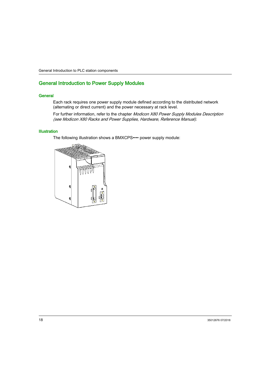### <span id="page-17-1"></span><span id="page-17-0"></span>General Introduction to Power Supply Modules

#### **General**

Each rack requires one power supply module defined according to the distributed network (alternating or direct current) and the power necessary at rack level.

For further information, refer to the chapter Modicon X80 Power Supply Modules Description (see Modicon X80 Racks and Power Supplies, Hardware, Reference Manual).

#### **Illustration**

The following illustration shows a BMXCPS•••• power supply module:

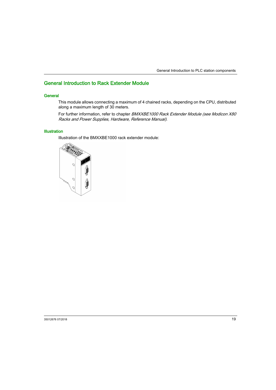### <span id="page-18-1"></span><span id="page-18-0"></span>General Introduction to Rack Extender Module

#### **General**

This module allows connecting a maximum of 4 chained racks, depending on the CPU, distributed along a maximum length of 30 meters.

For further information, refer to chapter BMXXBE1000 Rack Extender Module (see Modicon X80 Racks and Power Supplies, Hardware, Reference Manual).

#### **Illustration**

Illustration of the BMXXBE1000 rack extender module:

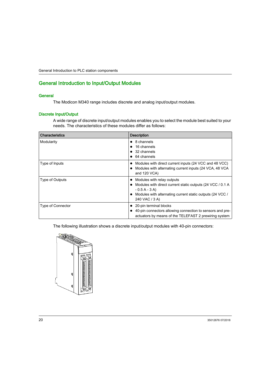### <span id="page-19-1"></span><span id="page-19-0"></span>General Introduction to Input/Output Modules

#### **General**

The Modicon M340 range includes discrete and analog input/output modules.

#### Discrete Input/Output

A wide range of discrete input/output modules enables you to select the module best suited to your needs. The characteristics of these modules differ as follows:

| <b>Characteristics</b> | <b>Description</b>                                                                                                                                                                           |
|------------------------|----------------------------------------------------------------------------------------------------------------------------------------------------------------------------------------------|
| Modularity             | $\bullet$ 8 channels<br>16 channels<br>$\bullet$ 32 channels<br>64 channels                                                                                                                  |
| Type of Inputs         | • Modules with direct current inputs (24 VCC and 48 VCC)<br>• Modules with alternating current inputs (24 VCA, 48 VCA)<br>and 120 VCA)                                                       |
| Type of Outputs        | • Modules with relay outputs<br>• Modules with direct current static outputs (24 VCC / 0.1 A<br>$-0.5A - 3A$<br>• Modules with alternating current static outputs (24 VCC)<br>240 VAC / 3 A) |
| Type of Connector      | 20-pin terminal blocks<br>• 40-pin connectors allowing connection to sensors and pre-<br>actuators by means of the TELEFAST 2 prewiring system                                               |

The following illustration shows a discrete input/output modules with 40-pin connectors:

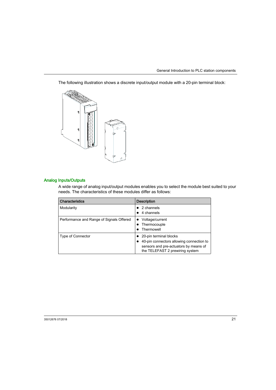The following illustration shows a discrete input/output module with a 20-pin terminal block:



#### Analog Inputs/Outputs

A wide range of analog input/output modules enables you to select the module best suited to your needs. The characteristics of these modules differ as follows:

| <b>Characteristics</b>                   | <b>Description</b>                                                                                                                             |
|------------------------------------------|------------------------------------------------------------------------------------------------------------------------------------------------|
| Modularity                               | 2 channels<br>4 channels                                                                                                                       |
| Performance and Range of Signals Offered | Voltage/current<br>Thermocouple<br>Thermowell                                                                                                  |
| <b>Type of Connector</b>                 | 20-pin terminal blocks<br>40-pin connectors allowing connection to<br>sensors and pre-actuators by means of<br>the TELEFAST 2 prewiring system |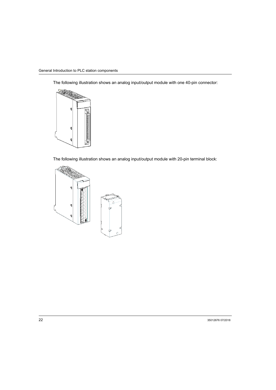The following illustration shows an analog input/output module with one 40-pin connector:



The following illustration shows an analog input/output module with 20-pin terminal block:

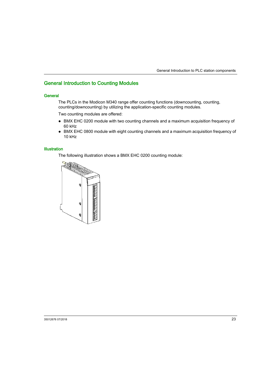### <span id="page-22-1"></span><span id="page-22-0"></span>General Introduction to Counting Modules

#### **General**

The PLCs in the Modicon M340 range offer counting functions (downcounting, counting, counting/downcounting) by utilizing the application-specific counting modules.

Two counting modules are offered:

- BMX EHC 0200 module with two counting channels and a maximum acquisition frequency of 60 kHz
- BMX EHC 0800 module with eight counting channels and a maximum acquisition frequency of 10 kHz

#### **Illustration**

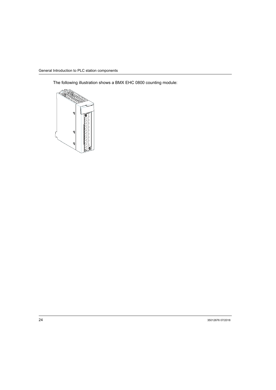The following illustration shows a BMX EHC 0800 counting module:

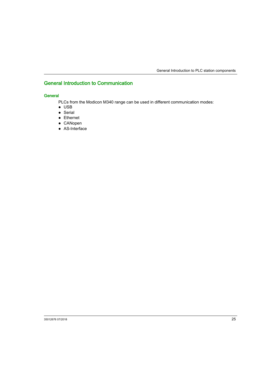## <span id="page-24-1"></span><span id="page-24-0"></span>General Introduction to Communication

#### **General**

PLCs from the Modicon M340 range can be used in different communication modes:

- USB
- Serial
- Ethernet
- CANopen
- AS-Interface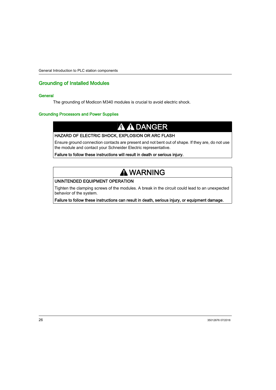### <span id="page-25-1"></span><span id="page-25-0"></span>Grounding of Installed Modules

#### **General**

The grounding of Modicon M340 modules is crucial to avoid electric shock.

#### Grounding Processors and Power Supplies

# **A A DANGER**

#### HAZARD OF ELECTRIC SHOCK, EXPLOSION OR ARC FLASH

Ensure ground connection contacts are present and not bent out of shape. If they are, do not use the module and contact your Schneider Electric representative.

Failure to follow these instructions will result in death or serious injury.

# **A WARNING**

#### UNINTENDED EQUIPMENT OPERATION

Tighten the clamping screws of the modules. A break in the circuit could lead to an unexpected behavior of the system.

Failure to follow these instructions can result in death, serious injury, or equipment damage.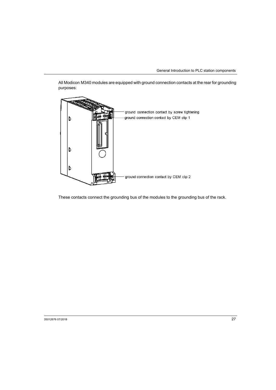All Modicon M340 modules are equipped with ground connection contacts at the rear for grounding purposes:



These contacts connect the grounding bus of the modules to the grounding bus of the rack.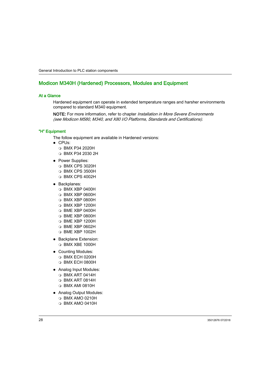### <span id="page-27-1"></span><span id="page-27-0"></span>Modicon M340H (Hardened) Processors, Modules and Equipment

#### At a Glance

Hardened equipment can operate in extended temperature ranges and harsher environments compared to standard M340 equipment.

NOTE: For more information, refer to chapter *Installation in More Severe Environments* (see Modicon M580, M340, and X80 I/O Platforms, Standards and Certifications).

#### "H" Equipment

The follow equipment are available in Hardened versions:

- CPUs:
	- BMX P34 2020H
	- BMX P34 2030 2H
- Power Supplies:
	- BMX CPS 3020H
	- BMX CPS 3500H
	- BMX CPS 4002H
- Backplanes:
	- BMX XBP 0400H
	- BMX XBP 0600H
	- $\Omega$  BMX XBP 0800H
	- BMX XBP 1200H
	- $\Omega$  BMF XBP 0400H
	- BME XBP 0800H
	- BME XBP 1200H
	- BME XBP 0602H
	- BME XBP 1002H
- Backplane Extension:
	- BMX XBE 1000H
- Counting Modules:
	- BMX ECH 0200H
	- BMX ECH 0800H
- Analog Input Modules:
	- $\Omega$  BMX ART 0414H
	- BMX ART 0814H
	- BMX AMI 0810H
- Analog Output Modules:
	- BMX AMO 0210H
	- BMX AMO 0410H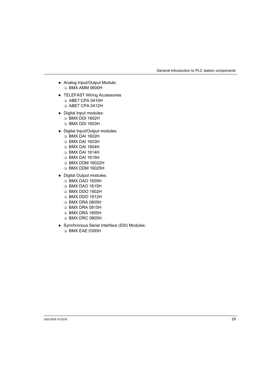- Analog Input/Output Module: BMX AMM 0600H
- **TELEFAST Wiring Accessories** 
	- O ABE7 CPA 0410H
	- ABE7 CPA 0412H
- Digital Input modules:
	- BMX DDI 1602H
	- BMX DDI 1603H
- Digital Input/Output modules:
	- BMX DAI 1602H
	- BMX DAI 1603H
	- BMX DAI 1604H
	- BMX DAI 1614H
	- BMX DAI 1615H
	- BMX DDM 16022H
	- BMX DDM 16025H
- Digital Output modules:
	- BMX DAO 1605H
	- BMX DAO 1615H
	- BMX DDO 1602H
	- BMX DDO 1612H
	- BMX DRA 0805H
	- BMX DRA 0815H
	- BMX DRA 1605H
	- BMX DRC 0805H
- Synchronous Serial Interface (SSI) Modules: BMX EAE 0300H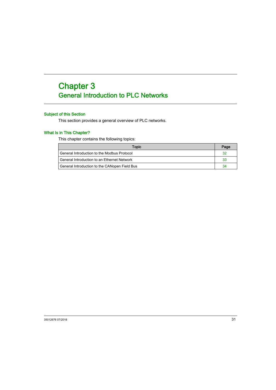# <span id="page-30-0"></span>**Chapter 3** General Introduction to PLC Networks

### Subject of this Section

This section provides a general overview of PLC networks.

#### What Is in This Chapter?

This chapter contains the following topics:

| Topic                                         | Page |
|-----------------------------------------------|------|
| General Introduction to the Modbus Protocol   | 32   |
| General Introduction to an Ethernet Network   | 33   |
| General Introduction to the CANopen Field Bus | 34   |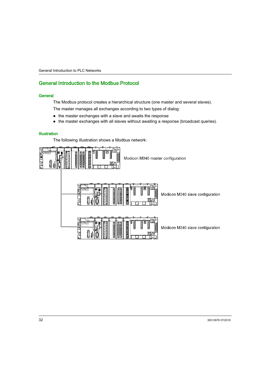### <span id="page-31-1"></span><span id="page-31-0"></span>General Introduction to the Modbus Protocol

#### **General**

The Modbus protocol creates a hierarchical structure (one master and several slaves).

The master manages all exchanges according to two types of dialog:

- the master exchanges with a slave and awaits the response
- the master exchanges with all slaves without awaiting a response (broadcast queries).

#### **Illustration**

The following illustration shows a Modbus network:



Modicon M340 master configuration



Modicon M340 slave configuration

Modicon M340 slave configuration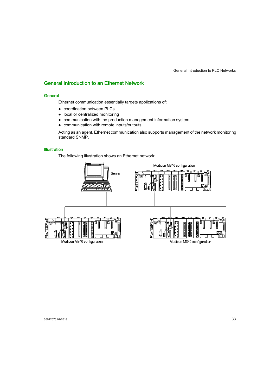### <span id="page-32-1"></span><span id="page-32-0"></span>General Introduction to an Ethernet Network

#### **General**

Ethernet communication essentially targets applications of:

- coordination between PLCs
- local or centralized monitoring
- communication with the production management information system
- communication with remote inputs/outputs

Acting as an agent, Ethernet communication also supports management of the network monitoring standard SNMP.

#### **Illustration**

The following illustration shows an Ethernet network:

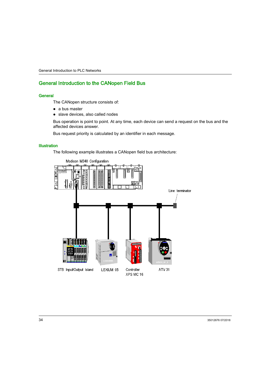### <span id="page-33-1"></span><span id="page-33-0"></span>General Introduction to the CANopen Field Bus

#### **General**

The CANopen structure consists of:

- a bus master
- slave devices, also called nodes

Bus operation is point to point. At any time, each device can send a request on the bus and the affected devices answer.

Bus request priority is calculated by an identifier in each message.

#### **Illustration**

The following example illustrates a CANopen field bus architecture:

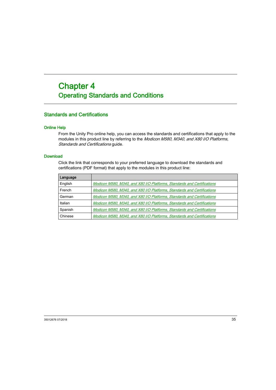# <span id="page-34-0"></span>**Chapter 4** Operating Standards and Conditions

### <span id="page-34-1"></span>Standards and Certifications

#### Online Help

From the Unity Pro online help, you can access the standards and certifications that apply to the modules in this product line by referring to the Modicon M580, M340, and X80 I/O Platforms, Standards and Certifications guide.

#### **Download**

Click the link that corresponds to your preferred language to download the standards and certifications (PDF format) that apply to the modules in this product line:

| Language |                                                                         |
|----------|-------------------------------------------------------------------------|
| English  | Modicon M580, M340, and X80 I/O Platforms, Standards and Certifications |
| French   | Modicon M580, M340, and X80 I/O Platforms, Standards and Certifications |
| German   | Modicon M580, M340, and X80 I/O Platforms, Standards and Certifications |
| Italian  | Modicon M580, M340, and X80 I/O Platforms, Standards and Certifications |
| Spanish  | Modicon M580, M340, and X80 I/O Platforms, Standards and Certifications |
| Chinese  | Modicon M580, M340, and X80 I/O Platforms, Standards and Certifications |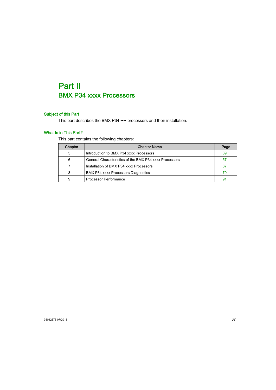# Part II BMX P34 xxxx Processors

# Subject of this Part

This part describes the BMX P34 •••• processors and their installation.

# What Is in This Part?

This part contains the following chapters:

| Chapter | <b>Chapter Name</b>                                    | Page |
|---------|--------------------------------------------------------|------|
| 5       | Introduction to BMX P34 xxxx Processors                | 39   |
| 6       | General Characteristics of the BMX P34 xxxx Processors | 57   |
|         | Installation of BMX P34 xxxx Processors                | 67   |
| 8       | BMX P34 xxxx Processors Diagnostics                    | 79   |
| 9       | Processor Performance                                  | 91   |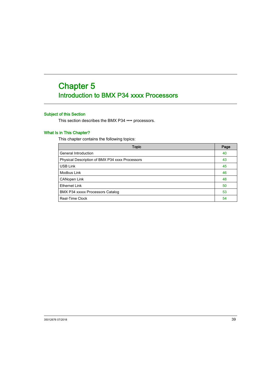# <span id="page-38-0"></span>**Chapter 5** Introduction to BMX P34 xxxx Processors

# Subject of this Section

This section describes the BMX P34 •••• processors.

## What Is in This Chapter?

This chapter contains the following topics:

| <b>Topic</b>                                    | Page |
|-------------------------------------------------|------|
| General Introduction                            | 40   |
| Physical Description of BMX P34 xxxx Processors | 43   |
| USB Link                                        | 45   |
| Modbus Link                                     | 46   |
| CANopen Link                                    | 48   |
| <b>Ethernet Link</b>                            | 50   |
| BMX P34 xxxxx Processors Catalog                | 53   |
| Real-Time Clock                                 | 54   |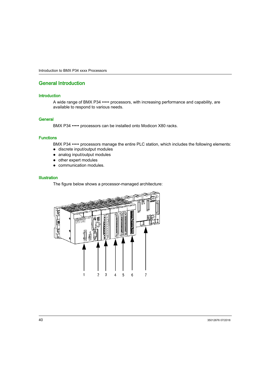# <span id="page-39-0"></span>General Introduction

### **Introduction**

A wide range of BMX P34 ••••• processors, with increasing performance and capability, are available to respond to various needs.

### **General**

BMX P34 ••••• processors can be installed onto Modicon X80 racks.

### **Functions**

BMX P34 ••••• processors manage the entire PLC station, which includes the following elements:

- discrete input/output modules
- analog input/output modules
- other expert modules
- communication modules.

#### Illustration

The figure below shows a processor-managed architecture:

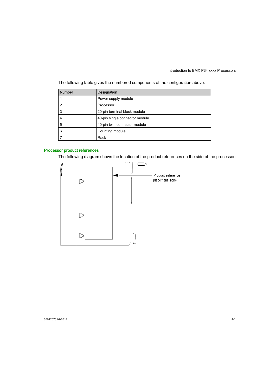| <b>Number</b> | Designation                    |
|---------------|--------------------------------|
|               | Power supply module            |
| 2             | Processor                      |
| 3             | 20-pin terminal block module   |
| 4             | 40-pin single connector module |
| 5             | 40-pin twin connector module   |
| 6             | Counting module                |
|               | Rack                           |

The following table gives the numbered components of the configuration above.

# Processor product references

The following diagram shows the location of the product references on the side of the processor:

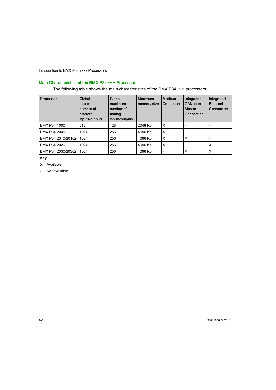# Main Characteristics of the BMX P34 ••••• Processors

The following table shows the main characteristics of the BMX P34 ••••• processors.

| Processor          | Global<br>maximum<br>number of<br>discrete<br>inputs/outputs | Global<br>maximum<br>number of<br>analog<br>inputs/outputs | <b>Maximum</b><br>memory size | <b>Modbus</b><br>Connection | Integrated<br><b>CANopen</b><br><b>Master</b><br>Connection | Integrated<br><b>Ethernet</b><br>Connection |
|--------------------|--------------------------------------------------------------|------------------------------------------------------------|-------------------------------|-----------------------------|-------------------------------------------------------------|---------------------------------------------|
| BMX P34 1000       | 512                                                          | 128                                                        | 2048 Kb                       | X                           |                                                             | $\overline{\phantom{a}}$                    |
| BMX P34 2000       | 1024                                                         | 256                                                        | 4096 Kb                       | X                           |                                                             | $\overline{\phantom{a}}$                    |
| BMX P34 2010/20102 | 1024                                                         | 256                                                        | 4096 Kb                       | X                           | X                                                           | $\overline{\phantom{a}}$                    |
| BMX P34 2020       | 1024                                                         | 256                                                        | 4096 Kb                       | X                           |                                                             | X                                           |
| BMX P34 2030/20302 | 1024                                                         | 256                                                        | 4096 Kb                       | $\overline{\phantom{a}}$    | X                                                           | X                                           |
| Key                |                                                              |                                                            |                               |                             |                                                             |                                             |
| Available<br>x     |                                                              |                                                            |                               |                             |                                                             |                                             |
| Not available      |                                                              |                                                            |                               |                             |                                                             |                                             |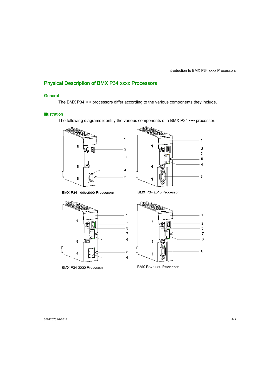# <span id="page-42-0"></span>Physical Description of BMX P34 xxxx Processors

## **General**

The BMX P34 •••• processors differ according to the various components they include.

## **Illustration**

The following diagrams identify the various components of a BMX P34 •••• processor:





BMX P34 1000/2000 Processors

BMX P34 2010 Processor



BMX P34 2020 Processor



BMX P34 2030 Processor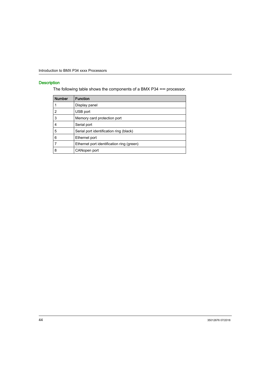## **Description**

The following table shows the components of a BMX P34 •••• processor.

| <b>Number</b> | <b>Function</b>                           |
|---------------|-------------------------------------------|
|               | Display panel                             |
| 2             | USB port                                  |
| 3             | Memory card protection port               |
| 4             | Serial port                               |
| 5             | Serial port identification ring (black)   |
| 6             | Ethernet port                             |
| 7             | Ethernet port identification ring (green) |
| 8             | CANopen port                              |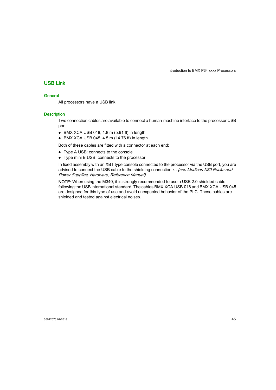# <span id="page-44-0"></span>USB Link

## **General**

All processors have a USB link.

## **Description**

Two connection cables are available to connect a human-machine interface to the processor USB port:

- BMX XCA USB 018, 1.8 m (5.91 ft) in length
- BMX XCA USB 045, 4.5 m (14.76 ft) in length

Both of these cables are fitted with a connector at each end:

- Type A USB: connects to the console
- Type mini B USB: connects to the processor

In fixed assembly with an XBT type console connected to the processor via the USB port, you are advised to connect the USB cable to the shielding connection kit (see Modicon X80 Racks and Power Supplies, Hardware, Reference Manual).

NOTE: When using the M340, it is strongly recommended to use a USB 2.0 shielded cable following the USB international standard. The cables BMX XCA USB 018 and BMX XCA USB 045 are designed for this type of use and avoid unexpected behavior of the PLC. Those cables are shielded and tested against electrical noises.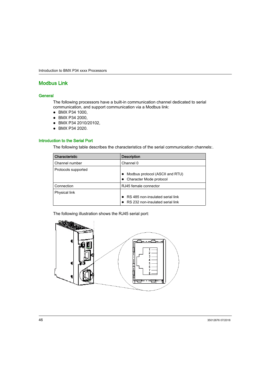# <span id="page-45-0"></span>Modbus Link

### **General**

The following processors have a built-in communication channel dedicated to serial communication, and support communication via a Modbus link:

- BMX P34 1000,
- BMX P34 2000,
- BMX P34 2010/20102,
- BMX P34 2020.

## Introduction to the Serial Port

The following table describes the characteristics of the serial communication channels:.

| Characteristic      | <b>Description</b>                                                   |
|---------------------|----------------------------------------------------------------------|
| Channel number      | Channel 0                                                            |
| Protocols supported | Modbus protocol (ASCII and RTU)<br>Character Mode protocol           |
| Connection          | RJ45 female connector                                                |
| Physical link       | RS 485 non-insulated serial link<br>RS 232 non-insulated serial link |

The following illustration shows the RJ45 serial port:

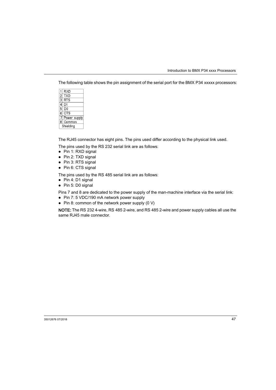The following table shows the pin assignment of the serial port for the BMX P34 xxxxx processors:

| 1                       | RXD          |  |  |
|-------------------------|--------------|--|--|
| 2                       | TXD          |  |  |
| $\overline{\mathbf{3}}$ | RTS          |  |  |
| 4                       | D1           |  |  |
| 5                       | D0           |  |  |
| 6                       | CTS          |  |  |
| 7                       | Power supply |  |  |
| 8                       | Common       |  |  |
| Shielding               |              |  |  |

The RJ45 connector has eight pins. The pins used differ according to the physical link used.

The pins used by the RS 232 serial link are as follows:

- Pin 1: RXD signal
- Pin 2: TXD signal
- Pin 3: RTS signal
- Pin 6: CTS signal

The pins used by the RS 485 serial link are as follows:

- Pin 4: D1 signal
- Pin 5: D0 signal

Pins 7 and 8 are dedicated to the power supply of the man-machine interface via the serial link:

- Pin 7: 5 VDC/190 mA network power supply
- Pin 8: common of the network power supply  $(0 V)$

NOTE: The RS 232 4-wire, RS 485 2-wire, and RS 485 2-wire and power supply cables all use the same RJ45 male connector.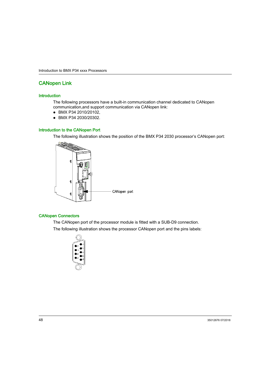# <span id="page-47-0"></span>CANopen Link

### **Introduction**

The following processors have a built-in communication channel dedicated to CANopen communication,and support communication via CANopen link:

- BMX P34 2010/20102,
- BMX P34 2030/20302.

### Introduction to the CANopen Port

The following illustration shows the position of the BMX P34 2030 processor's CANopen port:



### CANopen Connectors

The CANopen port of the processor module is fitted with a SUB-D9 connection.

The following illustration shows the processor CANopen port and the pins labels:

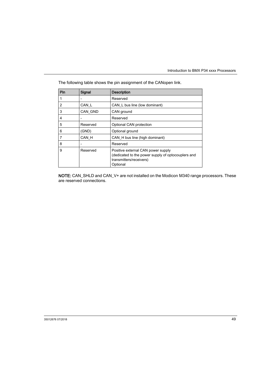| Pin | Signal                   | <b>Description</b>                                                                                                              |
|-----|--------------------------|---------------------------------------------------------------------------------------------------------------------------------|
| 1   | $\overline{\phantom{0}}$ | Reserved                                                                                                                        |
| 2   | CAN_L                    | CAN_L bus line (low dominant)                                                                                                   |
| 3   | CAN GND                  | CAN ground                                                                                                                      |
| 4   | $\overline{a}$           | Reserved                                                                                                                        |
| 5   | Reserved                 | Optional CAN protection                                                                                                         |
| 6   | (GND)                    | Optional ground                                                                                                                 |
| 7   | CAN H                    | CAN_H bus line (high dominant)                                                                                                  |
| 8   | $\overline{\phantom{0}}$ | Reserved                                                                                                                        |
| 9   | Reserved                 | Positive external CAN power supply<br>(dedicated to the power supply of optocouplers and<br>transmitters/receivers)<br>Optional |

The following table shows the pin assignment of the CANopen link.

NOTE: CAN\_SHLD and CAN\_V+ are not installed on the Modicon M340 range processors. These are reserved connections.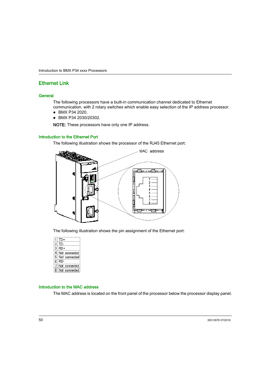# <span id="page-49-0"></span>Ethernet Link

### **General**

The following processors have a built-in communication channel dedicated to Ethernet communication, with 2 rotary switches which enable easy selection of the IP address processor.

- BMX P34 2020,
- BMX P34 2030/20302.

NOTE: These processors have only one IP address.

### Introduction to the Ethernet Port

The following illustration shows the processor of the RJ45 Ethernet port:



The following illustration shows the pin assignment of the Ethernet port:

|                | TD+           |
|----------------|---------------|
| $\mathcal{P}$  | TD-           |
| 3              | $RD+$         |
| 4              | Not connected |
| 5              | Not connected |
| 6              | RD-           |
|                | Not connected |
| $\overline{8}$ | Not connected |

### Introduction to the MAC address

The MAC address is located on the front panel of the processor below the processor display panel.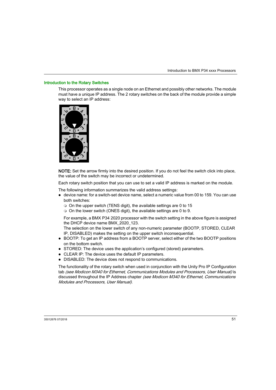### Introduction to the Rotary Switches

This processor operates as a single node on an Ethernet and possibly other networks. The module must have a unique IP address. The 2 rotary switches on the back of the module provide a simple way to select an IP address:



NOTE: Set the arrow firmly into the desired position. If you do not feel the switch click into place, the value of the switch may be incorrect or undetermined.

Each rotary switch position that you can use to set a valid IP address is marked on the module.

The following information summarizes the valid address settings:

- $\bullet$  device name: for a switch-set device name, select a numeric value from 00 to 159. You can use both switches:
	- $\circ$  On the upper switch (TENS digit), the available settings are 0 to 15
	- On the lower switch (ONES digit), the available settings are 0 to 9.

For example, a BMX P34 2020 processor with the switch setting in the above figure is assigned the DHCP device name BMX\_2020\_123.

The selection on the lower switch of any non-numeric parameter (BOOTP, STORED, CLEAR IP, DISABLED) makes the setting on the upper switch inconsequential.

- BOOTP: To get an IP address from a BOOTP server, select either of the two BOOTP positions on the bottom switch.
- STORED: The device uses the application's configured (stored) parameters.
- CLEAR IP: The device uses the default IP parameters.
- DISABLED: The device does not respond to communications.

The functionality of the rotary switch when used in conjunction with the Unity Pro IP Configuration tab (see Modicon M340 for Ethernet, Communications Modules and Processors, User Manual) is discussed throughout the IP Address chapter (see Modicon M340 for Ethernet, Communications Modules and Processors, User Manual).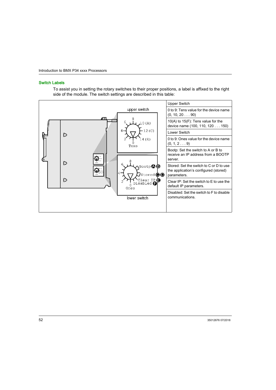### Switch Labels

To assist you in setting the rotary switches to their proper positions, a label is affixed to the right side of the module. The switch settings are described in this table:

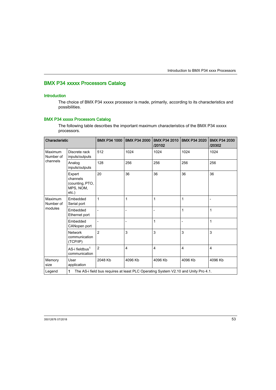# <span id="page-52-0"></span>BMX P34 xxxxx Processors Catalog

## **Introduction**

The choice of BMX P34 xxxxx processor is made, primarily, according to its characteristics and possibilities.

# BMX P34 xxxxx Processors Catalog

The following table describes the important maximum characteristics of the BMX P34 xxxxx processors.

| Characteristic                  |                                                                                          | <b>BMX P34 1000</b> | <b>BMX P34 2000</b> | <b>BMX P34 2010</b><br>/20102 | <b>BMX P34 2020</b> | <b>BMX P34 2030</b><br>/20302 |
|---------------------------------|------------------------------------------------------------------------------------------|---------------------|---------------------|-------------------------------|---------------------|-------------------------------|
| Maximum<br>Number of            | Discrete rack<br>inputs/outputs                                                          | 512                 | 1024                | 1024                          | 1024                | 1024                          |
| channels                        | Analog<br>inputs/outputs                                                                 | 128                 | 256                 | 256                           | 256                 | 256                           |
|                                 | Expert<br>channels<br>(counting, PTO,<br>MPS, NOM,<br>$etc.$ )                           | 20                  | 36                  | 36                            | 36                  | 36                            |
| Maximum<br>Number of<br>modules | Embedded<br>Serial port                                                                  | 1                   | $\mathbf{1}$        | $\mathbf{1}$                  | 1                   | $\overline{a}$                |
|                                 | Embedded<br>Ethernet port                                                                |                     | $\overline{a}$      |                               | 1                   | 1                             |
|                                 | Embedded<br>CANopen port                                                                 |                     | $\overline{a}$      | $\mathbf{1}$                  | $\overline{a}$      | 1                             |
|                                 | <b>Network</b><br>communication<br>(TCP/IP)                                              | $\overline{2}$      | 3                   | 3                             | 3                   | 3                             |
|                                 | AS-i fieldbus <sup>1</sup><br>communication                                              | $\overline{2}$      | $\overline{4}$      | $\overline{4}$                | $\overline{4}$      | $\overline{4}$                |
| Memory<br>size                  | User<br>application                                                                      | 2048 Kb             | 4096 Kb             | 4096 Kb                       | 4096 Kb             | 4096 Kb                       |
| Legend                          | The AS-i field bus requires at least PLC Operating System V2.10 and Unity Pro 4.1.<br>1. |                     |                     |                               |                     |                               |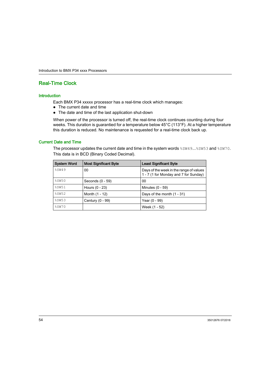# <span id="page-53-0"></span>Real-Time Clock

#### **Introduction**

Each BMX P34 xxxxx processor has a real-time clock which manages:

- The current date and time
- The date and time of the last application shut-down

When power of the processor is turned off, the real-time clock continues counting during four weeks. This duration is guarantied for a temperature below 45°C (113°F). At a higher temperature this duration is reduced. No maintenance is requested for a real-time clock back up.

## Current Date and Time

The processor updates the current date and time in the system words  $%$  sw49... $%$ sw53 and  $%$ sw70. This data is in BCD (Binary Coded Decimal).

| <b>System Word</b> | <b>Most Significant Byte</b> | <b>Least Significant Byte</b>                                                    |
|--------------------|------------------------------|----------------------------------------------------------------------------------|
| \$SW49             | 00                           | Days of the week in the range of values<br>1 - 7 (1 for Monday and 7 for Sunday) |
| \$SW50             | Seconds (0 - 59)             | 00                                                                               |
| \$SW51             | Hours (0 - 23)               | Minutes (0 - 59)                                                                 |
| \$SW52             | Month (1 - 12)               | Days of the month $(1 - 31)$                                                     |
| 8SW53              | Century (0 - 99)             | Year (0 - 99)                                                                    |
| \$SW70             |                              | Week (1 - 52)                                                                    |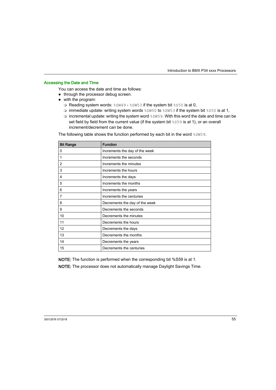### Accessing the Date and Time

You can access the date and time as follows:

- through the processor debug screen.
- with the program:
	- O Reading system words:  $85049 85053$  if the system bit  $850$  is at 0,
	- $\circ$  immediate update: writing system words  $85W50$  to  $85W53$  if the system bit  $8550$  is at 1,
	- $\circ$  incremental update: writing the system word  $\frac{1}{6}$  sw<sub>59</sub>. With this word the date and time can be set field by field from the current value (if the system bit %S59 is at 1), or an overall increment/decrement can be done.

The following table shows the function performed by each bit in the word  $\S5W59$ .

| <b>Bit Range</b> | <b>Function</b>                |
|------------------|--------------------------------|
| 0                | Increments the day of the week |
| 1                | Increments the seconds         |
| 2                | Increments the minutes         |
| 3                | Increments the hours           |
| 4                | Increments the days            |
| 5                | Increments the months          |
| 6                | Increments the years           |
| 7                | Increments the centuries       |
| 8                | Decrements the day of the week |
| 9                | Decrements the seconds         |
| 10               | Decrements the minutes         |
| 11               | Decrements the hours           |
| 12               | Decrements the days            |
| 13               | Decrements the months          |
| 14               | Decrements the years           |
| 15               | Decrements the centuries       |

NOTE: The function is performed when the corresponding bit %S59 is at 1.

NOTE: The processor does not automatically manage Daylight Savings Time.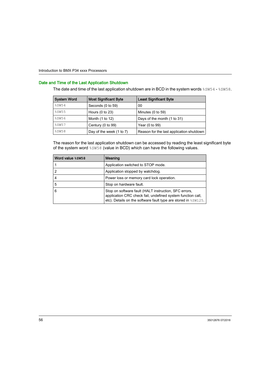### Date and Time of the Last Application Shutdown

The date and time of the last application shutdown are in BCD in the system words  $$sW54 - $sW58$ .

| <b>System Word</b> | <b>Most Significant Byte</b> | <b>Least Significant Byte</b>            |
|--------------------|------------------------------|------------------------------------------|
| %SW54              | Seconds (0 to 59)            | 00                                       |
| 8SW55              | Hours $(0 to 23)$            | Minutes (0 to 59)                        |
| \$SW56             | Month (1 to 12)              | Days of the month (1 to 31)              |
| 8SW57              | Century (0 to 99)            | Year (0 to 99)                           |
| \$SW58             | Day of the week (1 to 7)     | Reason for the last application shutdown |

The reason for the last application shutdown can be accessed by reading the least significant byte of the system word %SW58 (value in BCD) which can have the following values.

| Word value %SW58 | Meaning                                                                                                                                                                                 |
|------------------|-----------------------------------------------------------------------------------------------------------------------------------------------------------------------------------------|
|                  | Application switched to STOP mode.                                                                                                                                                      |
|                  | Application stopped by watchdog.                                                                                                                                                        |
| 4                | Power loss or memory card lock operation.                                                                                                                                               |
| 5                | Stop on hardware fault.                                                                                                                                                                 |
| 6                | Stop on software fault (HALT instruction, SFC errors,<br>application CRC check fail, undefined system function call,<br>etc). Details on the software fault type are stored in \$SW125. |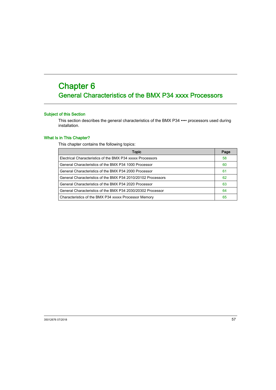# <span id="page-56-0"></span>**Chapter 6** General Characteristics of the BMX P34 xxxx Processors

## Subject of this Section

This section describes the general characteristics of the BMX P34 •••• processors used during installation.

### What Is in This Chapter?

This chapter contains the following topics:

| Topic                                                        | Page |
|--------------------------------------------------------------|------|
| Electrical Characteristics of the BMX P34 xxxxx Processors   | 58   |
| General Characteristics of the BMX P34 1000 Processor        | 60   |
| General Characteristics of the BMX P34 2000 Processor        | 61   |
| General Characteristics of the BMX P34 2010/20102 Processors | 62   |
| General Characteristics of the BMX P34 2020 Processor        | 63   |
| General Characteristics of the BMX P34 2030/20302 Processor  | 64   |
| Characteristics of the BMX P34 xxxxx Processor Memory        | 65   |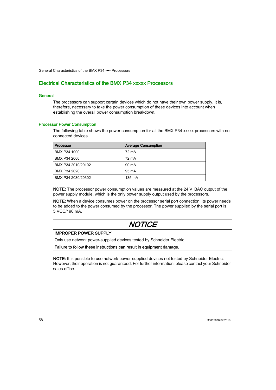# <span id="page-57-0"></span>Electrical Characteristics of the BMX P34 xxxxx Processors

### **General**

The processors can support certain devices which do not have their own power supply. It is, therefore, necessary to take the power consumption of these devices into account when establishing the overall power consumption breakdown.

### Processor Power Consumption

The following table shows the power consumption for all the BMX P34 xxxxx processors with no connected devices.

| Processor          | <b>Average Consumption</b> |
|--------------------|----------------------------|
| BMX P34 1000       | 72 mA                      |
| BMX P34 2000       | 72 mA                      |
| BMX P34 2010/20102 | 90 mA                      |
| BMX P34 2020       | 95 mA                      |
| BMX P34 2030/20302 | 135 mA                     |

**NOTE:** The processor power consumption values are measured at the  $24 \text{ V}$  BAC output of the power supply module, which is the only power supply output used by the processors.

NOTE: When a device consumes power on the processor serial port connection, its power needs to be added to the power consumed by the processor. The power supplied by the serial port is 5 VCC/190 mA.

# **NOTICE**

### IMPROPER POWER SUPPLY

Only use network power-supplied devices tested by Schneider Electric.

Failure to follow these instructions can result in equipment damage.

NOTE: It is possible to use network power-supplied devices not tested by Schneider Electric. However, their operation is not guaranteed. For further information, please contact your Schneider sales office.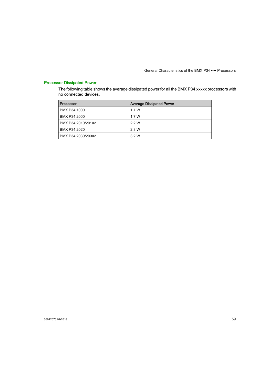# Processor Dissipated Power

The following table shows the average dissipated power for all the BMX P34 xxxxx processors with no connected devices.

| Processor          | <b>Average Dissipated Power</b> |
|--------------------|---------------------------------|
| BMX P34 1000       | 1.7 W                           |
| BMX P34 2000       | 1 7 W                           |
| BMX P34 2010/20102 | 22W                             |
| BMX P34 2020       | 2.3 W                           |
| BMX P34 2030/20302 | 3 2 W                           |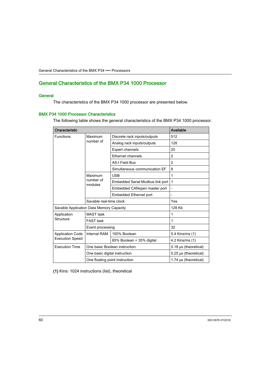# <span id="page-59-0"></span>General Characteristics of the BMX P34 1000 Processor

## **General**

The characteristics of the BMX P34 1000 processor are presented below.

### BMX P34 1000 Processor Characteristics

The following table shows the general characteristics of the BMX P34 1000 processor.

| Characteristic                           | Available                      |                                  |                              |
|------------------------------------------|--------------------------------|----------------------------------|------------------------------|
| <b>Functions</b>                         | Maximum                        | Discrete rack inputs/outputs     | 512                          |
|                                          | number of                      | Analog rack inputs/outputs       | 128                          |
|                                          |                                | <b>Expert channels</b>           | 20                           |
|                                          |                                | Ethernet channels                | $\overline{2}$               |
|                                          |                                | <b>AS-I Field Bus</b>            | $\overline{2}$               |
|                                          |                                | Simultaneous communication EF    | 8                            |
|                                          | Maximum                        | <b>USB</b>                       | 1                            |
|                                          | number of<br>modules           | Embedded Serial Modbus link port | 1                            |
|                                          |                                | Embedded CANopen master port     | $\overline{a}$               |
|                                          |                                | <b>Embedded Ethernet port</b>    |                              |
|                                          | Savable real-time clock        |                                  | Yes                          |
| Savable Application Data Memory Capacity |                                |                                  | 128 Kb                       |
| Application                              | <b>MAST</b> task               |                                  | 1                            |
| Structure                                | <b>FAST task</b>               |                                  | 1                            |
|                                          | Event processing               |                                  | 32                           |
| <b>Application Code</b>                  | Internal RAM                   | 100% Boolean                     | 5.4 Kins/ms (1)              |
| <b>Execution Speed</b>                   |                                | 65% Boolean + 35% digital        | 4.2 Kins/ms (1)              |
| <b>Execution Time</b>                    | One basic Boolean instruction  |                                  | $0.18 \,\mu s$ (theoretical) |
|                                          | One basic digital instruction  |                                  | $0.25 \mu s$ (theoretical)   |
|                                          | One floating point instruction | 1.74 $\mu$ s (theoretical)       |                              |

(1) Kins: 1024 instructions (list), theoretical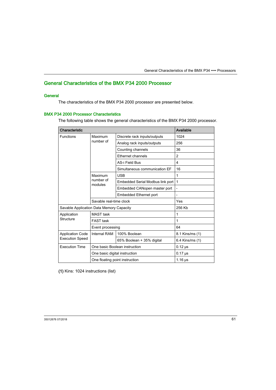# <span id="page-60-0"></span>General Characteristics of the BMX P34 2000 Processor

## **General**

The characteristics of the BMX P34 2000 processor are presented below.

## BMX P34 2000 Processor Characteristics

The following table shows the general characteristics of the BMX P34 2000 processor.

| Characteristic                           | Available                      |                                  |                          |
|------------------------------------------|--------------------------------|----------------------------------|--------------------------|
| <b>Functions</b>                         | Maximum                        | Discrete rack inputs/outputs     | 1024                     |
|                                          | number of                      | Analog rack inputs/outputs       | 256                      |
|                                          |                                | Counting channels                | 36                       |
|                                          |                                | Ethernet channels                | $\overline{2}$           |
|                                          |                                | AS-i Field Bus                   | 4                        |
|                                          |                                | Simultaneous communication EF    | 16                       |
|                                          | Maximum                        | <b>USB</b>                       | 1                        |
|                                          | number of<br>modules           | Embedded Serial Modbus link port | 1                        |
|                                          |                                | Embedded CANopen master port     | $\overline{\phantom{0}}$ |
|                                          |                                | <b>Embedded Ethernet port</b>    |                          |
|                                          | Savable real-time clock        |                                  | Yes                      |
| Savable Application Data Memory Capacity |                                |                                  | 256 Kb                   |
| Application                              | <b>MAST</b> task               |                                  | 1                        |
| Structure                                | <b>FAST</b> task               |                                  | 1                        |
|                                          | Event processing               |                                  | 64                       |
| <b>Application Code</b>                  | Internal RAM                   | 100% Boolean                     | 8.1 Kins/ms (1)          |
| <b>Execution Speed</b>                   |                                | 65% Boolean + 35% digital        | 6.4 Kins/ms (1)          |
| <b>Execution Time</b>                    | One basic Boolean instruction  |                                  | $0.12 \,\mu s$           |
|                                          | One basic digital instruction  |                                  | $0.17 \,\mu s$           |
|                                          | One floating point instruction | $1.16 \,\mu s$                   |                          |

(1) Kins: 1024 instructions (list)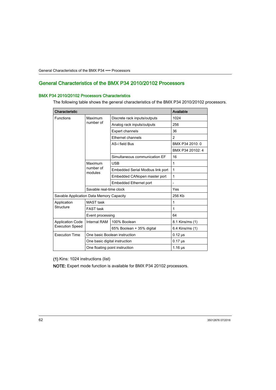# <span id="page-61-0"></span>General Characteristics of the BMX P34 2010/20102 Processors

## BMX P34 2010/20102 Processors Characteristics

The following table shows the general characteristics of the BMX P34 2010/20102 processors.

| Characteristic                                    | Available                      |                                  |                  |
|---------------------------------------------------|--------------------------------|----------------------------------|------------------|
| <b>Functions</b>                                  | Maximum                        | Discrete rack inputs/outputs     | 1024             |
|                                                   | number of                      | Analog rack inputs/outputs       | 256              |
|                                                   |                                | <b>Expert channels</b>           | 36               |
|                                                   |                                | <b>Ethernet channels</b>         | $\overline{2}$   |
|                                                   |                                | AS-i field Bus                   | BMX P34 2010: 0  |
|                                                   |                                |                                  | BMX P34 20102: 4 |
|                                                   |                                | Simultaneous communication EF    | 16               |
|                                                   | Maximum                        | <b>USB</b>                       | $\mathbf{1}$     |
|                                                   | number of<br>modules           | Embedded Serial Modbus link port | 1                |
|                                                   |                                | Embedded CANopen master port     | $\mathbf{1}$     |
|                                                   |                                | <b>Embedded Ethernet port</b>    | $\overline{a}$   |
| Savable real-time clock                           |                                |                                  | Yes              |
| Savable Application Data Memory Capacity          |                                |                                  | 256 Kb           |
| Application                                       | <b>MAST</b> task               |                                  | 1                |
| Structure                                         | <b>FAST</b> task               |                                  | 1                |
|                                                   | Event processing               |                                  | 64               |
| <b>Application Code</b><br><b>Execution Speed</b> | <b>Internal RAM</b>            | 100% Boolean                     | 8.1 Kins/ms (1)  |
|                                                   |                                | 65% Boolean + 35% digital        | 6.4 Kins/ms (1)  |
| <b>Execution Time</b>                             | One basic Boolean instruction  |                                  | $0.12 \,\mu s$   |
|                                                   | One basic digital instruction  |                                  | $0.17$ $\mu$ s   |
|                                                   | One floating point instruction |                                  | $1.16 \,\mu s$   |

(1) Kins: 1024 instructions (list)

NOTE: Expert mode function is available for BMX P34 20102 processors.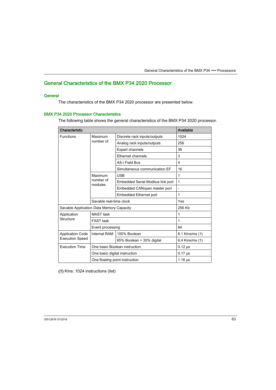# <span id="page-62-0"></span>General Characteristics of the BMX P34 2020 Processor

## **General**

The characteristics of the BMX P34 2020 processor are presented below.

### BMX P34 2020 Processor Characteristics

The following table shows the general characteristics of the BMX P34 2020 processor.

| Characteristic                                    | Available                      |                                  |                 |
|---------------------------------------------------|--------------------------------|----------------------------------|-----------------|
| <b>Functions</b>                                  | Maximum                        | Discrete rack inputs/outputs     | 1024            |
|                                                   | number of                      | Analog rack inputs/outputs       | 256             |
|                                                   |                                | Expert channels                  | 36              |
|                                                   |                                | Ethernet channels                | 3               |
|                                                   |                                | AS-i Field Bus                   | 4               |
|                                                   |                                | Simultaneous communication EF    | 16              |
|                                                   | Maximum                        | <b>USB</b>                       | 1               |
|                                                   | number of<br>modules           | Embedded Serial Modbus link port | 1               |
|                                                   |                                | Embedded CANopen master port     | $\overline{a}$  |
|                                                   |                                | Embedded Ethernet port           |                 |
|                                                   | Savable real-time clock        |                                  | Yes             |
| Savable Application Data Memory Capacity          |                                |                                  | 256 Kb          |
| MAST task<br>Application                          |                                |                                  | 1               |
| Structure                                         | <b>FAST task</b>               |                                  | 1               |
|                                                   | Event processing               |                                  | 64              |
| <b>Application Code</b><br><b>Execution Speed</b> | <b>Internal RAM</b>            | 100% Boolean                     | 8.1 Kins/ms (1) |
|                                                   |                                | 65% Boolean + 35% digital        | 6.4 Kins/ms (1) |
| <b>Execution Time</b>                             |                                | One basic Boolean instruction    |                 |
|                                                   | One basic digital instruction  |                                  | $0.17$ $\mu$ s  |
|                                                   | One floating point instruction | $1.16 \,\mu s$                   |                 |

(1) Kins: 1024 instructions (list)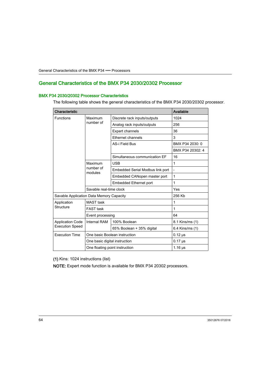# <span id="page-63-0"></span>General Characteristics of the BMX P34 2030/20302 Processor

### BMX P34 2030/20302 Processor Characteristics

The following table shows the general characteristics of the BMX P34 2030/20302 processor.

| Characteristic                                    | Available                      |                                  |                  |
|---------------------------------------------------|--------------------------------|----------------------------------|------------------|
| <b>Functions</b>                                  | Maximum                        | Discrete rack inputs/outputs     | 1024             |
|                                                   | number of                      | Analog rack inputs/outputs       | 256              |
|                                                   |                                | <b>Expert channels</b>           | 36               |
|                                                   |                                | Ethernet channels                | 3                |
|                                                   |                                | AS-i Field Bus                   | BMX P34 2030: 0  |
|                                                   |                                |                                  | BMX P34 20302: 4 |
|                                                   |                                | Simultaneous communication EF    | 16               |
|                                                   | Maximum                        | <b>USB</b>                       | 1                |
|                                                   | number of<br>modules           | Embedded Serial Modbus link port |                  |
|                                                   |                                | Embedded CANopen master port     | 1                |
|                                                   |                                | <b>Embedded Ethernet port</b>    | 1                |
| Savable real-time clock                           |                                |                                  | Yes              |
| Savable Application Data Memory Capacity          |                                |                                  | 256 Kb           |
| Application                                       | <b>MAST</b> task               |                                  | 1                |
| Structure                                         | <b>FAST</b> task               |                                  | 1                |
|                                                   | Event processing               |                                  | 64               |
| <b>Application Code</b><br><b>Execution Speed</b> | <b>Internal RAM</b>            | 100% Boolean                     | 8.1 Kins/ms (1)  |
|                                                   |                                | 65% Boolean + 35% digital        | 6.4 Kins/ms (1)  |
| <b>Execution Time</b>                             | One basic Boolean instruction  |                                  | $0.12 \,\mu s$   |
|                                                   | One basic digital instruction  |                                  | $0.17 \,\mu s$   |
|                                                   | One floating point instruction | $1.16 \,\mu s$                   |                  |

(1) Kins: 1024 instructions (list)

NOTE: Expert mode function is available for BMX P34 20302 processors.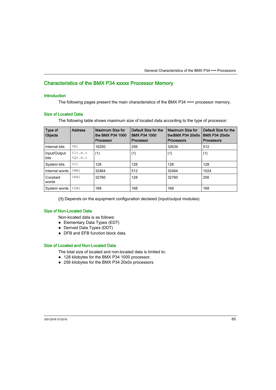# <span id="page-64-0"></span>Characteristics of the BMX P34 xxxxx Processor Memory

### **Introduction**

The following pages present the main characteristics of the BMX P34 ••••• processor memory.

## Size of Located Data

The following table shows maximum size of located data according to the type of processor:

| Type of<br><b>Objects</b>   | <b>Address</b>                  | Maximum Size for<br>the BMX P34 1000<br>Processor | Default Size for the<br><b>BMX P34 1000</b><br>Processor | Maximum Size for<br>the BMX $P34 20x0x$<br><b>Processors</b> | Default Size for the<br><b>BMX P34 20x0x</b><br><b>Processors</b> |
|-----------------------------|---------------------------------|---------------------------------------------------|----------------------------------------------------------|--------------------------------------------------------------|-------------------------------------------------------------------|
| Internal bits               | %Mi                             | 16250                                             | 256                                                      | 32634                                                        | 512                                                               |
| Input/Output<br><b>bits</b> | $\S$ Ir.m.c<br>$\text{SOr.m.c}$ | (1)                                               | (1)                                                      | (1)                                                          | (1)                                                               |
| System bits                 | 8S1                             | 128                                               | 128                                                      | 128                                                          | 128                                                               |
| Internal words              | %MWi                            | 32464                                             | 512                                                      | 32464                                                        | 1024                                                              |
| Constant<br>words           | %KWi                            | 32760                                             | 128                                                      | 32760                                                        | 256                                                               |
| System words                | %SWi                            | 168                                               | 168                                                      | 168                                                          | 168                                                               |

(1) Depends on the equipment configuration declared (input/output modules).

## Size of Non-Located Data

Non-located data is as follows:

- Elementary Data Types (EDT)
- Derived Data Types (DDT)
- DFB and FFB function block data.

## Size of Located and Non-Located Data

The total size of located and non-located data is limited to:

- 128 kilobytes for the BMX P34 1000 processor.
- 256 kilobytes for the BMX P34 20x0x processors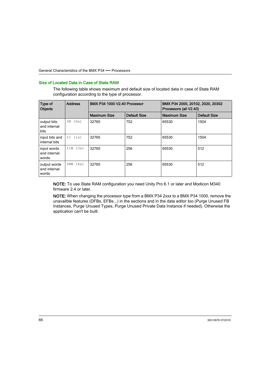### Size of Located Data in Case of State RAM

The following table shows maximum and default size of located data in case of State RAM configuration according to the type of processor.

| Type of<br><b>Objects</b>             | <b>Address</b> | <b>BMX P34 1000 V2.40 Processor</b> |                     | BMX P34 2000, 20102, 2020, 20302<br>Processors (all V2.40) |                     |
|---------------------------------------|----------------|-------------------------------------|---------------------|------------------------------------------------------------|---------------------|
|                                       |                | <b>Maximum Size</b>                 | <b>Default Size</b> | <b>Maximum Size</b>                                        | <b>Default Size</b> |
| output bits<br>and internal<br>bits   | $-M (0x)$      | 32765                               | 752                 | 65530                                                      | 1504                |
| input bits and<br>internal bits       | $\SI$ (1x)     | 32765                               | 752                 | 65530                                                      | 1504                |
| input words<br>and internal<br>words  | $\SIW$ (3x)    | 32765                               | 256                 | 65530                                                      | 512                 |
| output words<br>and internal<br>words | (4x)<br>%MW    | 32765                               | 256                 | 65530                                                      | 512                 |

NOTE: To use State RAM configuration you need Unity Pro 6.1 or later and Modicon M340 firmware 2.4 or later.

NOTE: When changing the processor type from a BMX P34 2xxx to a BMX P34 1000, remove the unavailble features (DFBs, EFBs...) in the sections and in the data editor too (Purge Unused FB Instances, Purge Unused Types, Purge Unused Private Data Instance if needed). Otherwise the application can't be built.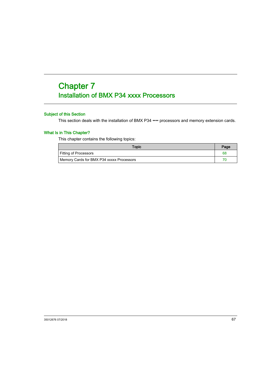# <span id="page-66-0"></span>**Chapter 7** Installation of BMX P34 xxxx Processors

# Subject of this Section

This section deals with the installation of BMX P34 •••• processors and memory extension cards.

## What Is in This Chapter?

This chapter contains the following topics:

| <b>Topic</b>                              | Page |
|-------------------------------------------|------|
| <b>Fitting of Processors</b>              | 68   |
| Memory Cards for BMX P34 xxxxx Processors |      |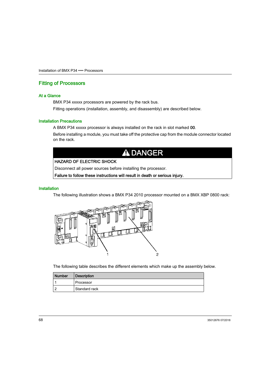# <span id="page-67-0"></span>Fitting of Processors

### At a Glance

BMX P34 xxxxx processors are powered by the rack bus.

Fitting operations (installation, assembly, and disassembly) are described below.

#### Installation Precautions

A BMX P34 xxxxx processor is always installed on the rack in slot marked 00.

Before installing a module, you must take off the protective cap from the module connector located on the rack.

# **A DANGER**

## HAZARD OF ELECTRIC SHOCK

Disconnect all power sources before installing the processor.

Failure to follow these instructions will result in death or serious injury.

#### **Installation**

The following illustration shows a BMX P34 2010 processor mounted on a BMX XBP 0800 rack:



The following table describes the different elements which make up the assembly below.

| <b>Number</b> | <b>Description</b> |
|---------------|--------------------|
|               | Processor          |
|               | Standard rack      |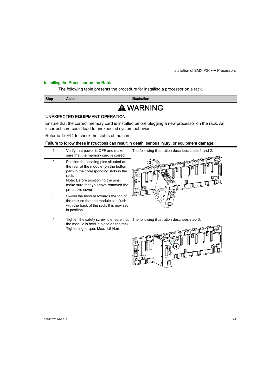# Installing the Processor on the Rack

The following table presents the procedure for installing a processor on a rack.

| <b>Step</b>                                                                                                                                                  | Action                                                                                                                                                                                                                                | <b>Illustration</b>                                 |  |  |  |  |
|--------------------------------------------------------------------------------------------------------------------------------------------------------------|---------------------------------------------------------------------------------------------------------------------------------------------------------------------------------------------------------------------------------------|-----------------------------------------------------|--|--|--|--|
| A WARNING                                                                                                                                                    |                                                                                                                                                                                                                                       |                                                     |  |  |  |  |
| UNEXPECTED EQUIPMENT OPERATION                                                                                                                               |                                                                                                                                                                                                                                       |                                                     |  |  |  |  |
| Ensure that the correct memory card is installed before plugging a new processor on the rack. An<br>incorrect card could lead to unexpected system behavior. |                                                                                                                                                                                                                                       |                                                     |  |  |  |  |
|                                                                                                                                                              | Refer to \$SW97 to check the status of the card.                                                                                                                                                                                      |                                                     |  |  |  |  |
| Failure to follow these instructions can result in death, serious injury, or equipment damage.                                                               |                                                                                                                                                                                                                                       |                                                     |  |  |  |  |
| 1                                                                                                                                                            | Verify that power is OFF and make<br>sure that the memory card is correct.                                                                                                                                                            | The following illustration describes steps 1 and 2: |  |  |  |  |
| 2                                                                                                                                                            | Position the locating pins situated at<br>the rear of the module (on the bottom<br>part) in the corresponding slots in the<br>rack.<br>Note: Before positioning the pins,<br>make sure that you have removed the<br>protective cover. |                                                     |  |  |  |  |
| 3                                                                                                                                                            | Swivel the module towards the top of<br>the rack so that the module sits flush<br>with the back of the rack. It is now set<br>in position.                                                                                            |                                                     |  |  |  |  |
| 4                                                                                                                                                            | Tighten the safety screw to ensure that<br>the module is held in place on the rack.<br>Tightening torque: Max. 1.5 N.m                                                                                                                | The following illustration describes step 3:        |  |  |  |  |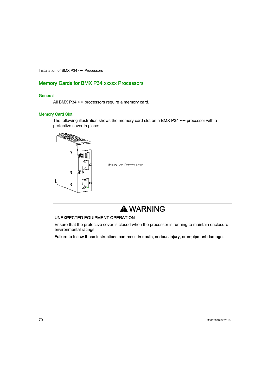# <span id="page-69-0"></span>Memory Cards for BMX P34 xxxxx Processors

## **General**

All BMX P34 •••• processors require a memory card.

### Memory Card Slot

The following illustration shows the memory card slot on a BMX P34 •••• processor with a protective cover in place:



# **A WARNING**

## UNEXPECTED EQUIPMENT OPERATION

Ensure that the protective cover is closed when the processor is running to maintain enclosure environmental ratings.

Failure to follow these instructions can result in death, serious injury, or equipment damage.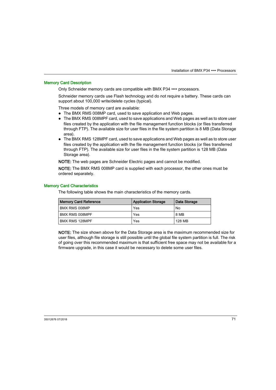### Memory Card Description

Only Schneider memory cards are compatible with BMX P34 •••• processors.

Schneider memory cards use Flash technology and do not require a battery. These cards can support about 100,000 write/delete cycles (typical).

Three models of memory card are available:

- The BMX RMS 008MP card, used to save application and Web pages.
- The BMX RMS 008MPF card, used to save applications and Web pages as well as to store user files created by the application with the file management function blocks (or files transferred through FTP). The available size for user files in the file system partition is 8 MB (Data Storage area).
- The BMX RMS 128MPF card, used to save applications and Web pages as well as to store user files created by the application with the file management function blocks (or files transferred through FTP). The available size for user files in the file system partition is 128 MB (Data Storage area).

NOTE: The web pages are Schneider Electric pages and cannot be modified.

NOTE: The BMX RMS 008MP card is supplied with each processor, the other ones must be ordered separately.

#### Memory Card Characteristics

The following table shows the main characteristics of the memory cards.

| <b>Memory Card Reference</b> | <b>Application Storage</b> | Data Storage |
|------------------------------|----------------------------|--------------|
| BMX RMS 008MP                | Yes                        | No           |
| BMX RMS 008MPF               | Yes                        | 8 MB         |
| <b>BMX RMS 128MPF</b>        | Yes                        | 128 MB       |

NOTE: The size shown above for the Data Storage area is the maximum recommended size for user files, although file storage is still possible until the global file system partition is full. The risk of going over this recommended maximum is that sufficient free space may not be available for a firmware upgrade, in this case it would be necessary to delete some user files.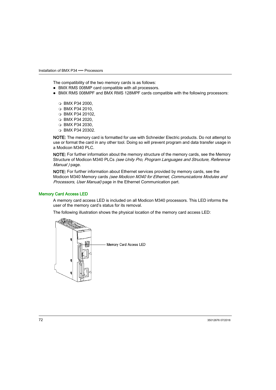The compatibility of the two memory cards is as follows:

- BMX RMS 008MP card compatible with all processors.
- BMX RMS 008MPF and BMX RMS 128MPF cards compatible with the following processors:
	- $\circ$  BMX P34 2000.
	- BMX P34 2010,
	- BMX P34 20102,
	- BMX P34 2020,
	- BMX P34 2030,
	- BMX P34 20302.

NOTE: The memory card is formatted for use with Schneider Electric products. Do not attempt to use or format the card in any other tool. Doing so will prevent program and data transfer usage in a Modicon M340 PLC.

NOTE: For further information about the memory structure of the memory cards, see the Memory Structure of Modicon M340 PLCs (see Unity Pro, Program Languages and Structure, Reference Manual ) page.

NOTE: For further information about Ethernet services provided by memory cards, see the Modicon M340 Memory cards (see Modicon M340 for Ethernet, Communications Modules and Processors, User Manual) page in the Ethernet Communication part.

### Memory Card Access LED

A memory card access LED is included on all Modicon M340 processors. This LED informs the user of the memory card's status for its removal.

The following illustration shows the physical location of the memory card access LED:

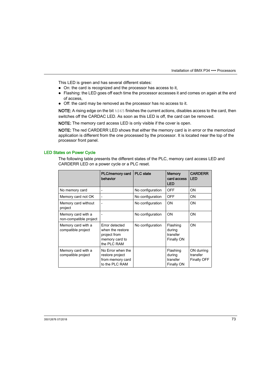This LED is green and has several different states:

- On: the card is recognized and the processor has access to it,
- Flashing: the LED goes off each time the processor accesses it and comes on again at the end of access,
- Off: the card may be removed as the processor has no access to it.

**NOTE:** A rising edge on the bit  $\frac{1}{6}$  s finishes the current actions, disables access to the card, then switches off the CARDAC LED. As soon as this LED is off, the card can be removed.

NOTE: The memory card access LED is only visible if the cover is open.

NOTE: The red CARDERR LED shows that either the memory card is in error or the memorized application is different from the one processed by the processor. It is located near the top of the processor front panel.

#### LED States on Power Cycle

The following table presents the different states of the PLC, memory card access LED and CARDERR LED on a power cycle or a PLC reset.

|                                              | PLC/memory card<br>behavior                                                         | <b>PLC</b> state | <b>Memory</b><br>card access<br><b>LED</b>   | <b>CARDERR</b><br><b>LED</b>                 |
|----------------------------------------------|-------------------------------------------------------------------------------------|------------------|----------------------------------------------|----------------------------------------------|
| No memory card                               | $\overline{a}$                                                                      | No configuration | <b>OFF</b>                                   | <b>ON</b>                                    |
| Memory card not OK                           | $\overline{a}$                                                                      | No configuration | OFF                                          | <b>ON</b>                                    |
| Memory card without<br>project               | $\overline{a}$                                                                      | No configuration | ON                                           | ON                                           |
| Memory card with a<br>non-compatible project |                                                                                     | No configuration | ON                                           | ON                                           |
| Memory card with a<br>compatible project     | Error detected<br>when the restore<br>project from<br>memory card to<br>the PLC RAM | No configuration | Flashing<br>during<br>transfer<br>Finally ON | ON                                           |
| Memory card with a<br>compatible project     | No Error when the<br>restore project<br>from memory card<br>to the PLC RAM          |                  | Flashing<br>during<br>transfer<br>Finally ON | ON durring<br>transfer<br><b>Finally OFF</b> |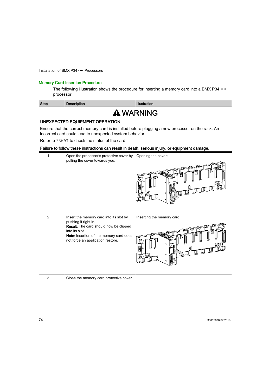#### Memory Card Insertion Procedure

The following illustration shows the procedure for inserting a memory card into a BMX P34 •••• processor.

| <b>Step</b>    | <b>Description</b>                                                                                                                                                                                          | Illustration                                                                                   |  |
|----------------|-------------------------------------------------------------------------------------------------------------------------------------------------------------------------------------------------------------|------------------------------------------------------------------------------------------------|--|
|                | A WARNING                                                                                                                                                                                                   |                                                                                                |  |
|                | UNEXPECTED EQUIPMENT OPERATION                                                                                                                                                                              |                                                                                                |  |
|                | Ensure that the correct memory card is installed before plugging a new processor on the rack. An<br>incorrect card could lead to unexpected system behavior.                                                |                                                                                                |  |
|                | Refer to $\frac{1}{6}$ SW97 to check the status of the card.                                                                                                                                                |                                                                                                |  |
|                |                                                                                                                                                                                                             | Failure to follow these instructions can result in death, serious injury, or equipment damage. |  |
| 1              | Open the processor's protective cover by<br>pulling the cover towards you.                                                                                                                                  | Opening the cover:                                                                             |  |
| $\overline{2}$ | Insert the memory card into its slot by<br>pushing it right in.<br>Result: The card should now be clipped<br>into its slot.<br>Note: Insertion of the memory card does<br>not force an application restore. | Inserting the memory card:                                                                     |  |
| 3              | Close the memory card protective cover.                                                                                                                                                                     |                                                                                                |  |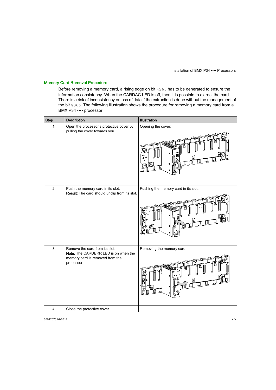#### Memory Card Removal Procedure

Before removing a memory card, a rising edge on bit %S65 has to be generated to ensure the information consistency. When the CARDAC LED is off, then it is possible to extract the card. There is a risk of inconsistency or loss of data if the extraction is done without the management of the bit %S65. The following illustration shows the procedure for removing a memory card from a BMX P34 •••• processor.

| <b>Step</b>    | <b>Description</b>                                                                                                      | Illustration                         |
|----------------|-------------------------------------------------------------------------------------------------------------------------|--------------------------------------|
| 1              | Open the processor's protective cover by<br>pulling the cover towards you.                                              | Opening the cover:                   |
| $\overline{2}$ | Push the memory card in its slot.<br>Result: The card should unclip from its slot.                                      | Pushing the memory card in its slot: |
| $\mathsf 3$    | Remove the card from its slot.<br>Note: The CARDERR LED is on when the<br>memory card is removed from the<br>processor. | Removing the memory card:            |
| 4              | Close the protective cover.                                                                                             |                                      |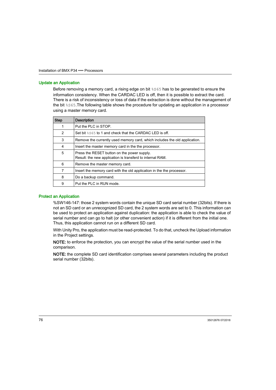#### Update an Application

Before removing a memory card, a rising edge on bit %S65 has to be generated to ensure the information consistency. When the CARDAC LED is off, then it is possible to extract the card. There is a risk of inconsistency or loss of data if the extraction is done without the management of the bit %S65.The following table shows the procedure for updating an application in a processor using a master memory card.

| <b>Step</b> | <b>Description</b>                                                                                       |
|-------------|----------------------------------------------------------------------------------------------------------|
| 1           | Put the PLC in STOP.                                                                                     |
| 2           | Set bit \$\$65 to 1 and check that the CARDAC LED is off.                                                |
| 3           | Remove the currently used memory card, which includes the old application.                               |
| 4           | Insert the master memory card in the the processor.                                                      |
| 5           | Press the RESET button on the power supply.<br>Result: the new application is transferd to internal RAM. |
| 6           | Remove the master memory card.                                                                           |
| 7           | Insert the memory card with the old application in the the processor.                                    |
| 8           | Do a backup command.                                                                                     |
| 9           | Put the PLC in RUN mode.                                                                                 |

#### Protect an Application

%SW146-147: those 2 system words contain the unique SD card serial number (32bits). If there is not an SD card or an unrecognized SD card, the 2 system words are set to 0. This information can be used to protect an application against duplication: the application is able to check the value of serial number and can go to halt (or other convenient action) if it is different from the initial one. Thus, this application cannot run on a different SD card.

With Unity Pro, the application must be read-protected. To do that, uncheck the Upload information in the Project settings.

NOTE: to enforce the protection, you can encrypt the value of the serial number used in the comparison.

NOTE: the complete SD card identification comprises several parameters including the product serial number (32bits).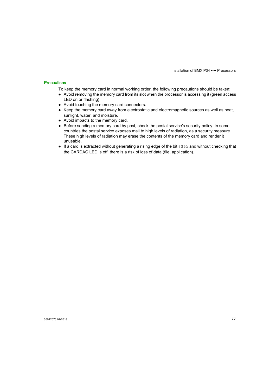#### **Precautions**

To keep the memory card in normal working order, the following precautions should be taken:

- Avoid removing the memory card from its slot when the processor is accessing it (green access LED on or flashing).
- Avoid touching the memory card connectors.
- $\bullet$  Keep the memory card away from electrostatic and electromagnetic sources as well as heat, sunlight, water, and moisture.
- Avoid impacts to the memory card.
- Before sending a memory card by post, check the postal service's security policy. In some countries the postal service exposes mail to high levels of radiation, as a security measure. These high levels of radiation may erase the contents of the memory card and render it unusable.
- If a card is extracted without generating a rising edge of the bit  $8565$  and without checking that the CARDAC LED is off, there is a risk of loss of data (file, application).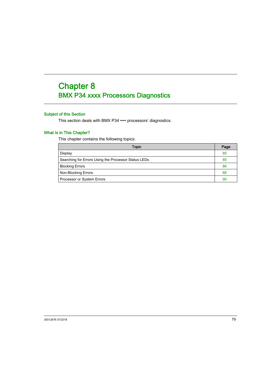# <span id="page-78-0"></span>**Chapter 8** BMX P34 xxxx Processors Diagnostics

#### Subject of this Section

This section deals with BMX P34 •••• processors' diagnostics.

### What Is in This Chapter?

This chapter contains the following topics:

| Topic                                                | Page |
|------------------------------------------------------|------|
| Display                                              | 80   |
| Searching for Errors Using the Processor Status LEDs | 85   |
| <b>Blocking Errors</b>                               | 86   |
| Non-Blocking Errors                                  | 88   |
| Processor or System Errors                           | 90   |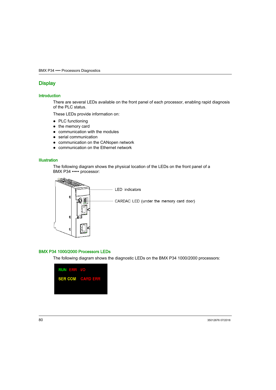### <span id="page-79-1"></span><span id="page-79-0"></span>**Display**

#### **Introduction**

There are several LEDs available on the front panel of each processor, enabling rapid diagnosis of the PLC status.

These LEDs provide information on:

- PLC functioning
- the memory card
- communication with the modules
- serial communication
- communication on the CANopen network
- communication on the Ethernet network

#### **Illustration**

The following diagram shows the physical location of the LEDs on the front panel of a BMX P34 ••••• processor:



#### BMX P34 1000/2000 Processors LEDs

The following diagram shows the diagnostic LEDs on the BMX P34 1000/2000 processors:

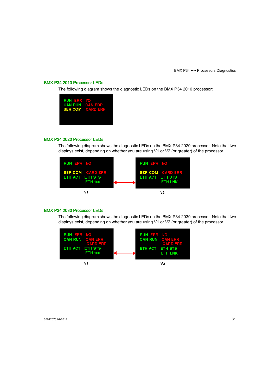#### BMX P34 2010 Processor LEDs

The following diagram shows the diagnostic LEDs on the BMX P34 2010 processor:

| <b>RUN ERR I/O</b><br><b>CAN RUN CAN ERR</b><br><b>SER COM CARD ERR</b> |  |
|-------------------------------------------------------------------------|--|
|                                                                         |  |

#### BMX P34 2020 Processor LEDs

The following diagram shows the diagnostic LEDs on the BMX P34 2020 processor. Note that two displays exist, depending on whether you are using V1 or V2 (or greater) of the processor.



#### BMX P34 2030 Processor LEDs

The following diagram shows the diagnostic LEDs on the BMX P34 2030 processor. Note that two displays exist, depending on whether you are using V1 or V2 (or greater) of the processor.

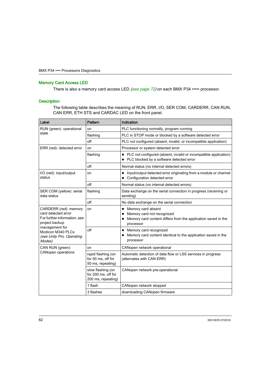#### Memory Card Access LED

There is also a memory card access LED [\(see](#page-71-0) page  $72$ ) on each BMX P34 ••••• processor.

#### **Description**

The following table describes the meaning of RUN, ERR, I/O, SER COM, CARDERR, CAN RUN, CAN ERR, ETH STS and CARDAC LED on the front panel.

| Label                                                                                                                                                                        | Pattern                                                        | Indication                                                                                                                     |
|------------------------------------------------------------------------------------------------------------------------------------------------------------------------------|----------------------------------------------------------------|--------------------------------------------------------------------------------------------------------------------------------|
| RUN (green): operational<br>state                                                                                                                                            | on                                                             | PLC functioning normally, program running                                                                                      |
|                                                                                                                                                                              | flashing                                                       | PLC in STOP mode or blocked by a software detected error                                                                       |
|                                                                                                                                                                              | off                                                            | PLC not configured (absent, invalid, or incompatible application)                                                              |
| ERR (red): detected error                                                                                                                                                    | on                                                             | Processor or system detected error                                                                                             |
|                                                                                                                                                                              | flashing                                                       | PLC not configured (absent, invalid or incompatible application)<br>PLC blocked by a software detected error                   |
|                                                                                                                                                                              | off                                                            | Normal status (no internal detected errors)                                                                                    |
| I/O (red): input/output<br>status                                                                                                                                            | on                                                             | Input/output detected error originating from a module or channel<br>Configuration detected error                               |
|                                                                                                                                                                              | off                                                            | Normal status (no internal detected errors)                                                                                    |
| SER COM (yellow): serial<br>data status                                                                                                                                      | flashing                                                       | Data exchange on the serial connection in progress (receiving or<br>sending)                                                   |
|                                                                                                                                                                              | off                                                            | No data exchange on the serial connection                                                                                      |
| CARDERR (red): memory<br>card detected error<br>For further information, see<br>project backup<br>management for<br>Modicon M340 PLCs<br>(see Unity Pro, Operating<br>Modes) | on                                                             | Memory card absent<br>Memory card not recognized<br>Memory card content differs from the application saved in the<br>processor |
|                                                                                                                                                                              | off                                                            | Memory card recognized<br>Memory card content identical to the application saved in the<br>processor                           |
| CAN RUN (green):                                                                                                                                                             | on                                                             | CANopen network operational                                                                                                    |
| <b>CANopen operations</b>                                                                                                                                                    | rapid flashing (on<br>for 50 ms. off for<br>50 ms, repeating)  | Automatic detection of data flow or LSS services in progress<br>(alternates with CAN ERR)                                      |
|                                                                                                                                                                              | slow flashing (on<br>for 200 ms. off for<br>200 ms, repeating) | CANopen network pre-operational                                                                                                |
|                                                                                                                                                                              | 1 flash                                                        | CANopen network stopped                                                                                                        |
|                                                                                                                                                                              | 3 flashes                                                      | downloading CANopen firmware                                                                                                   |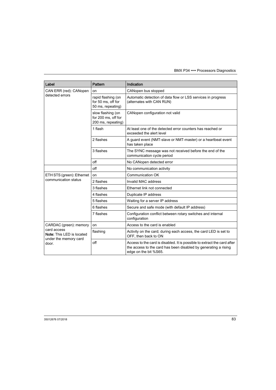| Label                                                                                                | Pattern                                                        | Indication                                                                                                                                                           |
|------------------------------------------------------------------------------------------------------|----------------------------------------------------------------|----------------------------------------------------------------------------------------------------------------------------------------------------------------------|
| CAN ERR (red): CANopen<br>detected errors                                                            | on                                                             | CANopen bus stopped                                                                                                                                                  |
|                                                                                                      | rapid flashing (on<br>for 50 ms, off for<br>50 ms, repeating)  | Automatic detection of data flow or LSS services in progress<br>(alternates with CAN RUN)                                                                            |
|                                                                                                      | slow flashing (on<br>for 200 ms. off for<br>200 ms, repeating) | CANopen configuration not valid                                                                                                                                      |
|                                                                                                      | 1 flash                                                        | At least one of the detected error counters has reached or<br>exceeded the alert level                                                                               |
|                                                                                                      | 2 flashes                                                      | A guard event (NMT-slave or NMT-master) or a heartbeat event<br>has taken place                                                                                      |
|                                                                                                      | 3 flashes                                                      | The SYNC message was not received before the end of the<br>communication cycle period                                                                                |
|                                                                                                      | off                                                            | No CANopen detected error                                                                                                                                            |
|                                                                                                      | off                                                            | No communication activity                                                                                                                                            |
| ETH STS (green): Ethernet                                                                            | on                                                             | Communication OK                                                                                                                                                     |
| communication status                                                                                 | 2 flashes                                                      | Invalid MAC address                                                                                                                                                  |
|                                                                                                      | 3 flashes                                                      | Ethernet link not connected                                                                                                                                          |
|                                                                                                      | 4 flashes                                                      | Duplicate IP address                                                                                                                                                 |
|                                                                                                      | 5 flashes                                                      | Waiting for a server IP address                                                                                                                                      |
|                                                                                                      | 6 flashes                                                      | Secure and safe mode (with default IP address)                                                                                                                       |
|                                                                                                      | 7 flashes                                                      | Configuration conflict between rotary switches and internal<br>configuration                                                                                         |
| CARDAC (green): memory<br>card access<br>Note: This LED is located<br>under the memory card<br>door. | on                                                             | Access to the card is enabled                                                                                                                                        |
|                                                                                                      | flashing                                                       | Activity on the card; during each access, the card LED is set to<br>OFF, then back to ON                                                                             |
|                                                                                                      | off                                                            | Access to the card is disabled. It is possible to extract the card after<br>the access to the card has been disabled by generating a rising<br>edge on the bit %S65. |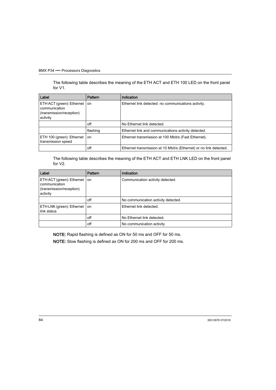The following table describes the meaning of the ETH ACT and ETH 100 LED on the front panel for V1.

| Label                                                                              | <b>Pattern</b> | Indication                                                         |
|------------------------------------------------------------------------------------|----------------|--------------------------------------------------------------------|
| ETH ACT (green): Ethernet<br>communication<br>(transmission/reception)<br>activity | on             | Ethernet link detected: no communications activity.                |
|                                                                                    | off            | No Ethernet link detected.                                         |
|                                                                                    | flashing       | Ethernet link and communications activity detected.                |
| ETH 100 (green): Ethernet<br>transmission speed                                    | on             | Ethernet transmission at 100 Mbit/s (Fast Ethernet).               |
|                                                                                    | off            | Ethernet transmission at 10 Mbit/s (Ethernet) or no link detected. |

The following table describes the meaning of the ETH ACT and ETH LNK LED on the front panel for V2.

| Label                                                                              | <b>Pattern</b> | Indication                          |
|------------------------------------------------------------------------------------|----------------|-------------------------------------|
| ETH ACT (green): Ethernet<br>communication<br>(transmission/reception)<br>activity | <b>on</b>      | Communication activity detected.    |
|                                                                                    | off            | No communication activity detected. |
| ETH LNK (green): Ethernet<br>link status                                           | on             | Ethernet link detected.             |
|                                                                                    | off            | No Ethernet link detected.          |
|                                                                                    | off            | No communication activity           |

NOTE: Rapid flashing is defined as ON for 50 ms and OFF for 50 ms.

NOTE: Slow flashing is defined as ON for 200 ms and OFF for 200 ms.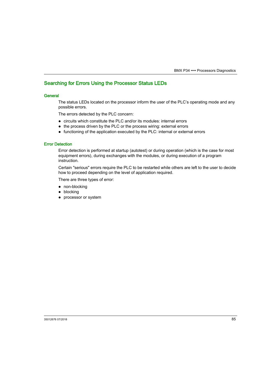### <span id="page-84-0"></span>Searching for Errors Using the Processor Status LEDs

#### General

The status LEDs located on the processor inform the user of the PLC's operating mode and any possible errors.

The errors detected by the PLC concern:

- circuits which constitute the PLC and/or its modules: internal errors
- the process driven by the PLC or the process wiring: external errors
- functioning of the application executed by the PLC: internal or external errors

#### Error Detection

Error detection is performed at startup (autotest) or during operation (which is the case for most equipment errors), during exchanges with the modules, or during execution of a program instruction.

Certain "serious" errors require the PLC to be restarted while others are left to the user to decide how to proceed depending on the level of application required.

There are three types of error:

- non-blocking
- blocking
- processor or system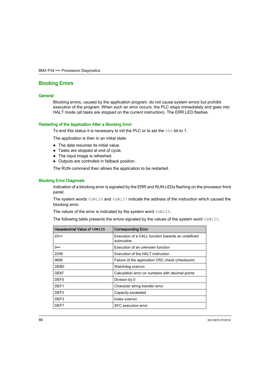### <span id="page-85-1"></span><span id="page-85-0"></span>Blocking Errors

#### **General**

Blocking errors, caused by the application program, do not cause system errors but prohibit execution of the program. When such an error occurs, the PLC stops immediately and goes into HALT mode (all tasks are stopped on the current instruction). The ERR LED flashes.

#### Restarting of the Application After a Blocking Error

To end this status it is necessary to init the PLC or to set the %S0 bit to 1.

The application is then in an initial state:

- The data resumes its initial value.
- Tasks are stopped at end of cycle.
- The input image is refreshed.
- Outputs are controlled in fallback position.

The RUN command then allows the application to be restarted.

#### Blocking Error Diagnosis

Indication of a blocking error is signaled by the ERR and RUN LEDs flashing on the processor front panel.

The system words  $85W126$  and  $85W127$  indicate the address of the instruction which caused the blocking error.

The nature of the error is indicated by the system word  $\frac{25W125}{3}$ .

The following table presents the errors signaled by the values of the system word  $\frac{25M125}{2}$ .

| Hexadecimal Value of \$SW125 | <b>Corresponding Error</b>                                      |
|------------------------------|-----------------------------------------------------------------|
| 23                           | Execution of a CALL function towards an undefined<br>subroutine |
| 0…                           | Execution of an unknown function                                |
| 2258                         | Execution of the HALT instruction                               |
| 9690                         | Failure of the application CRC check (checksum)                 |
| DEB <sub>0</sub>             | Watchdog overrun                                                |
| DE87                         | Calculation error on numbers with decimal points                |
| DEF0                         | Division by 0                                                   |
| DEF <sub>1</sub>             | Character string transfer error                                 |
| DEF <sub>2</sub>             | Capacity exceeded                                               |
| DEF3                         | Index overrun                                                   |
| DEF7                         | SFC execution error                                             |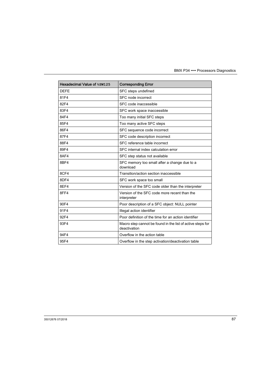| Hexadecimal Value of %SW125 | <b>Corresponding Error</b>                                                 |
|-----------------------------|----------------------------------------------------------------------------|
| <b>DEFE</b>                 | SFC steps undefined                                                        |
| 81F4                        | SFC node incorrect                                                         |
| 82F4                        | SFC code inaccessible                                                      |
| 83F4                        | SFC work space inaccessible                                                |
| 84F4                        | Too many initial SFC steps                                                 |
| 85F4                        | Too many active SFC steps                                                  |
| 86F4                        | SFC sequence code incorrect                                                |
| 87F4                        | SFC code description incorrect                                             |
| 88F4                        | SFC reference table incorrect                                              |
| 89F4                        | SFC internal index calculation error                                       |
| 8AF4                        | SFC step status not available                                              |
| 8BF4                        | SFC memory too small after a change due to a<br>download                   |
| 8CF4                        | Transition/action section inaccessible                                     |
| 8DF4                        | SFC work space too small                                                   |
| 8EF4                        | Version of the SFC code older than the interpreter                         |
| 8FF4                        | Version of the SFC code more recent than the<br>interpreter                |
| 90F4                        | Poor description of a SFC object: NULL pointer                             |
| 91F4                        | Illegal action identifier                                                  |
| 92F4                        | Poor definition of the time for an action identifier                       |
| 93F4                        | Macro step cannot be found in the list of active steps for<br>deactivation |
| 94F4                        | Overflow in the action table                                               |
| 95F4                        | Overflow in the step activation/deactivation table                         |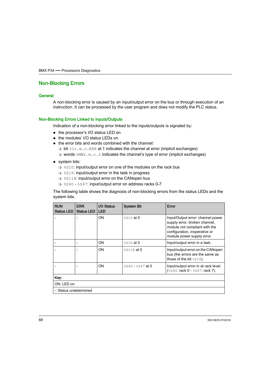### <span id="page-87-0"></span>Non-Blocking Errors

#### General

A non-blocking error is caused by an input/output error on the bus or through execution of an instruction. It can be processed by the user program and does not modify the PLC status.

#### Non-Blocking Errors Linked to Inputs/Outputs

Indication of a non-blocking error linked to the inputs/outputs is signaled by:

- the processor's I/O status LED on
- the modules' I/O status LEDs on
- the error bits and words combined with the channel:
	- bit %Ir.m.c.ERR at 1 indicates the channel at error (implicit exchanges)
	- $\circ$  words  $\text{MWT.m.c.2}$  indicates the channel's type of error (implicit exchanges)

#### • system bits:

- $\circ$  \ss 10: input/output error on one of the modules on the rack bus
- $§S16$ : input/output error in the task in progress
- $\circ$  %S118: input/output error on the CANopen bus
- $\circ$  %S40 %S47: input/output error on address racks 0-7

The following table shows the diagnosis of non-blocking errors from the status LEDs and the system bits.

| <b>RUN</b><br><b>Status LED</b> | <b>ERR</b><br><b>Status LED</b> | I/O Status<br><b>LED</b> | <b>System Bit</b>    | Error                                                                                                                                                              |
|---------------------------------|---------------------------------|--------------------------|----------------------|--------------------------------------------------------------------------------------------------------------------------------------------------------------------|
|                                 | $\overline{a}$                  | ON                       | %S10 at 0            | Input/Output error: channel power<br>supply error, broken channel,<br>module not compliant with the<br>configuration, inoperative or<br>module power supply error. |
|                                 |                                 | ON                       | %S16 at 0            | Input/output error in a task.                                                                                                                                      |
|                                 |                                 | ON                       | %S118 at 0           | Input/output error on the CANopen<br>bus (the errors are the same as<br>those of the bit $\$s10$ ).                                                                |
|                                 |                                 | ON                       | $\$S40 - \$S47$ at 0 | Input/output error in at rack level.<br>$($10:$ rack $0 - $17:$ rack 7).                                                                                           |
| Key:                            |                                 |                          |                      |                                                                                                                                                                    |
| ON: LED on                      |                                 |                          |                      |                                                                                                                                                                    |
| -: Status undetermined          |                                 |                          |                      |                                                                                                                                                                    |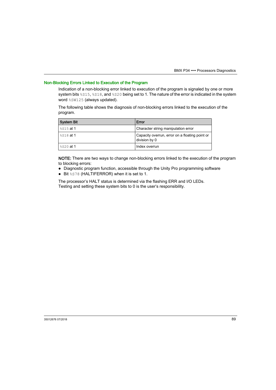### Non-Blocking Errors Linked to Execution of the Program

Indication of a non-blocking error linked to execution of the program is signaled by one or more system bits  $8515, 8518$ , and  $8520$  being set to 1. The nature of the error is indicated in the system word %SW125 (always updated).

The following table shows the diagnosis of non-blocking errors linked to the execution of the program.

| <b>System Bit</b>       | Error                                                           |
|-------------------------|-----------------------------------------------------------------|
| ' ୫S15 <b>at 1</b>      | Character string manipulation error                             |
| $\frac{1}{8}$ \$18 at 1 | Capacity overrun, error on a floating point or<br>division by 0 |
| ' ୫s20 <b>at 1</b>      | Index overrun                                                   |

NOTE: There are two ways to change non-blocking errors linked to the execution of the program to blocking errors:

- Diagnostic program function, accessible through the Unity Pro programming software
- **•** Bit %S78 (HALTIFERROR) when it is set to 1.

The processor's HALT status is determined via the flashing ERR and I/O LEDs. Testing and setting these system bits to 0 is the user's responsibility.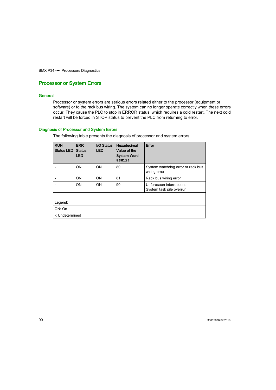### <span id="page-89-0"></span>Processor or System Errors

#### **General**

Processor or system errors are serious errors related either to the processor (equipment or software) or to the rack bus wiring. The system can no longer operate correctly when these errors occur. They cause the PLC to stop in ERROR status, which requires a cold restart. The next cold restart will be forced in STOP status to prevent the PLC from returning to error.

#### Diagnosis of Processor and System Errors

The following table presents the diagnosis of processor and system errors.

| <b>RUN</b><br>Status LED | <b>ERR</b><br><b>Status</b><br><b>LED</b> | <b>I/O Status</b><br><b>LED</b> | Hexadecimal<br>Value of the<br><b>System Word</b><br>\$SW124 | Error                                                 |
|--------------------------|-------------------------------------------|---------------------------------|--------------------------------------------------------------|-------------------------------------------------------|
|                          | ON                                        | ON                              | 80                                                           | System watchdog error or rack bus<br>wiring error     |
|                          | ON                                        | ON                              | 81                                                           | Rack bus wiring error                                 |
|                          | ON                                        | ON                              | 90                                                           | Unforeseen interruption.<br>System task pile overrun. |
|                          |                                           |                                 |                                                              |                                                       |
| Legend:                  |                                           |                                 |                                                              |                                                       |
| ON: On                   |                                           |                                 |                                                              |                                                       |
| -: Undetermined          |                                           |                                 |                                                              |                                                       |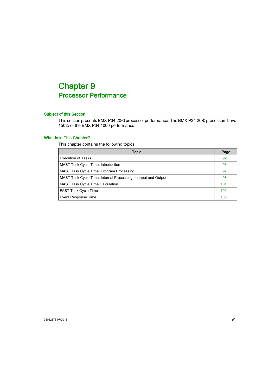# <span id="page-90-0"></span>**Chapter 9** Processor Performance

#### Subject of this Section

This section presents BMX P34 20•0 processor performance. The BMX P34 20•0 processors have 150% of the BMX P34 1000 performance.

#### What Is in This Chapter?

This chapter contains the following topics:

| Topic                                                         | Page            |
|---------------------------------------------------------------|-----------------|
| <b>Execution of Tasks</b>                                     | 92              |
| <b>MAST Task Cycle Time: Introduction</b>                     | 96              |
| MAST Task Cycle Time: Program Processing                      | 97              |
| MAST Task Cycle Time: Internal Processing on Input and Output | 98              |
| <b>MAST Task Cycle Time Calculation</b>                       | 101             |
| <b>FAST Task Cycle Time</b>                                   | 10 <sub>2</sub> |
| Event Response Time                                           | 103             |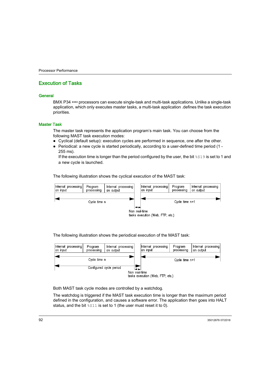### <span id="page-91-0"></span>Execution of Tasks

#### **General**

BMX P34 •••• processors can execute single-task and multi-task applications. Unlike a single-task application, which only executes master tasks, a multi-task application .defines the task execution priorities.

#### Master Task

The master task represents the application program's main task. You can choose from the following MAST task execution modes:

- Cyclical (default setup): execution cycles are performed in sequence, one after the other.
- Periodical: a new cycle is started periodically, according to a user-defined time period (1 255 ms).

If the execution time is longer than the period configured by the user, the bit  $819$  is set to 1 and a new cycle is launched.

The following illustration shows the cyclical execution of the MAST task:



The following illustration shows the periodical execution of the MAST task:



Both MAST task cycle modes are controlled by a watchdog.

The watchdog is triggered if the MAST task execution time is longer than the maximum period defined in the configuration, and causes a software error. The application then goes into HALT status, and the bit  $\$s11$  is set to 1 (the user must reset it to 0).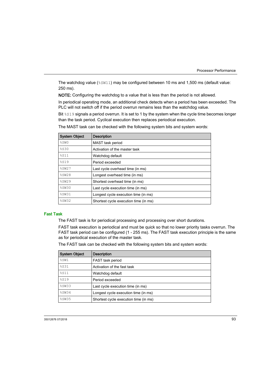The watchdog value (%SW11) may be configured between 10 ms and 1,500 ms (default value: 250 ms).

NOTE: Configuring the watchdog to a value that is less than the period is not allowed.

In periodical operating mode, an additional check detects when a period has been exceeded. The PLC will not switch off if the period overrun remains less than the watchdog value.

Bit  $8519$  signals a period overrun. It is set to 1 by the system when the cycle time becomes longer than the task period. Cyclical execution then replaces periodical execution.

| <b>System Object</b> | <b>Description</b>                    |
|----------------------|---------------------------------------|
| %SW0                 | MAST task period                      |
| <b>8S30</b>          | Activation of the master task         |
| %S11                 | Watchdog default                      |
| %S19                 | Period exceeded                       |
| \$SW27               | Last cycle overhead time (in ms)      |
| \$SW28               | Longest overhead time (in ms)         |
| \$SW29               | Shortest overhead time (in ms)        |
| \$SW30               | Last cycle execution time (in ms)     |
| \$SW31               | Longest cycle execution time (in ms)  |
| \$SW32               | Shortest cycle execution time (in ms) |

The MAST task can be checked with the following system bits and system words:

#### Fast Task

The FAST task is for periodical processing and processing over short durations.

FAST task execution is periodical and must be quick so that no lower priority tasks overrun. The FAST task period can be configured (1 - 255 ms). The FAST task execution principle is the same as for periodical execution of the master task.

The FAST task can be checked with the following system bits and system words:

| <b>System Object</b> | <b>Description</b>                    |
|----------------------|---------------------------------------|
| %SW1                 | FAST task period                      |
| %S31                 | Activation of the fast task           |
| 8S11                 | Watchdog default                      |
| %S19                 | Period exceeded                       |
| \$SW33               | Last cycle execution time (in ms)     |
| %SW34                | Longest cycle execution time (in ms)  |
| \$SW35               | Shortest cycle execution time (in ms) |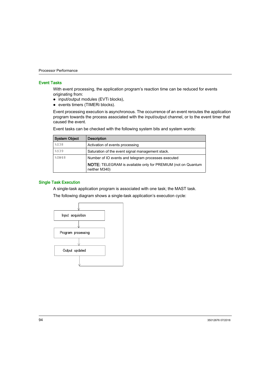#### Event Tasks

With event processing, the application program's reaction time can be reduced for events originating from:

- input/output modules (EVTi blocks),
- events timers (TIMERi blocks).

Event processing execution is asynchronous. The occurrence of an event reroutes the application program towards the process associated with the input/output channel, or to the event timer that caused the event.

| <b>System Object</b> | <b>Description</b>                                                                   |
|----------------------|--------------------------------------------------------------------------------------|
| <b>%S38</b>          | Activation of events processing                                                      |
| %S39                 | Saturation of the event signal management stack.                                     |
| %SW48                | Number of IO events and telegram processes executed                                  |
|                      | <b>NOTE:</b> TELEGRAM is available only for PREMIUM (not on Quantum<br>neither M340) |

Event tasks can be checked with the following system bits and system words:

#### Single Task Execution

A single-task application program is associated with one task; the MAST task.

The following diagram shows a single-task application's execution cycle:

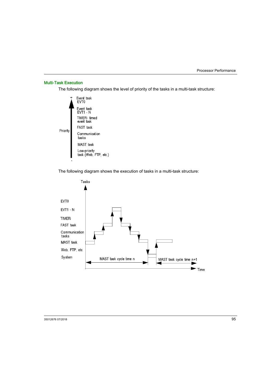#### Multi-Task Execution

The following diagram shows the level of priority of the tasks in a multi-task structure:



The following diagram shows the execution of tasks in a multi-task structure:

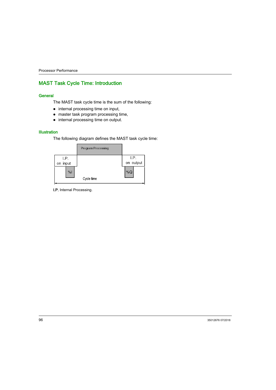# <span id="page-95-0"></span>MAST Task Cycle Time: Introduction

#### **General**

The MAST task cycle time is the sum of the following:

- internal processing time on input,
- master task program processing time,
- internal processing time on output.

#### **Illustration**

The following diagram defines the MAST task cycle time:



I.P. Internal Processing.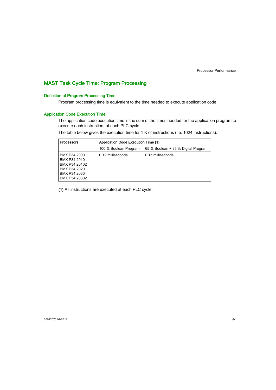# <span id="page-96-0"></span>MAST Task Cycle Time: Program Processing

#### Definition of Program Processing Time

Program processing time is equivalent to the time needed to execute application code.

#### <span id="page-96-1"></span>Application Code Execution Time

The application code execution time is the sum of the times needed for the application program to execute each instruction, at each PLC cycle.

The table below gives the execution time for 1 K of instructions (i.e. 1024 instructions).

| <b>Processors</b>                                                                              | Application Code Execution Time (1) |                                     |  |  |
|------------------------------------------------------------------------------------------------|-------------------------------------|-------------------------------------|--|--|
|                                                                                                | 100 % Boolean Program               | 65 % Boolean + 35 % Digital Program |  |  |
| BMX P34 2000<br>BMX P34 2010<br>BMX P34 20102<br>BMX P34 2020<br>BMX P34 2030<br>BMX P34 20302 | 0.12 milliseconds                   | 0.15 milliseconds                   |  |  |

(1) All instructions are executed at each PLC cycle.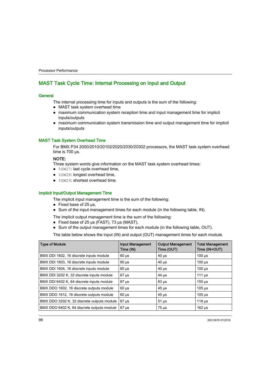# <span id="page-97-0"></span>MAST Task Cycle Time: Internal Processing on Input and Output

#### **General**

The internal processing time for inputs and outputs is the sum of the following:

- MAST task system overhead time
- maximum communication system reception time and input management time for implicit inputs/outputs
- maximum communication system transmission time and output management time for implicit inputs/outputs

#### <span id="page-97-1"></span>MAST Task System Overhead Time

For BMX P34 2000/2010/20102/2020/2030/20302 processors, the MAST task system overhead time is 700 μs.

#### NOTE:

Three system words give information on the MAST task system overhead times:

- %SW27: last cycle overhead time,
- %SW28: longest overhead time,
- $$SW29: shortest overhead time.$

#### <span id="page-97-2"></span>Implicit Input/Output Management Time

The implicit input management time is the sum of the following:

- $\bullet$  Fixed base of 25 μs,
- Sum of the input management times for each module (in the following table, IN).

The implicit output management time is the sum of the following:

- Fixed base of 25 μs (FAST), 73 μs (MAST),
- Sum of the output management times for each module (in the following table, OUT).

The table below shows the input (IN) and output (OUT) management times for each module.

| <b>Type of Module</b>                      | <b>Input Management</b><br>Time (IN) | <b>Output Management</b><br>Time (OUT) | <b>Total Management</b><br>Time (IN+OUT) |
|--------------------------------------------|--------------------------------------|----------------------------------------|------------------------------------------|
| BMX DDI 1602, 16 discrete inputs module    | $60 \mu s$                           | $40 \mu s$                             | $100 \mu s$                              |
| BMX DDI 1603, 16 discrete inputs module    | $60 \mu s$                           | $40 \mu s$                             | $100 \mu s$                              |
| BMX DDI 1604, 16 discrete inputs module    | $60 \mu s$                           | $40 \mu s$                             | $100 \mu s$                              |
| BMX DDI 3202 K, 32 discrete inputs module  | $67 \mu s$                           | $44 \mu s$                             | 111 $\mu$ s                              |
| BMX DDI 6402 K, 64 discrete inputs module  | $87 \mu s$                           | $63 \mu s$                             | $150 \mu s$                              |
| BMX DDO 1602, 16 discrete outputs module   | $60 \mu s$                           | $45 \,\mathrm{\mu s}$                  | $105 \,\mathrm{\mu s}$                   |
| BMX DDO 1612, 16 discrete outputs module   | $60 \mu s$                           | $45 \,\mathrm{\mu s}$                  | $105 \text{ }\mu\text{s}$                |
| BMX DDO 3202 K, 32 discrete outputs module | $67 \mu s$                           | $51 \mu s$                             | 118 <sub>µ</sub>                         |
| BMX DDO 6402 K, 64 discrete outputs module | $87 \,\mathrm{\mu s}$                | $75 \mu s$                             | $162 \mu s$                              |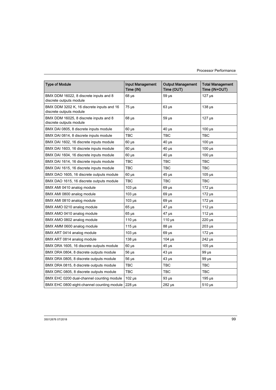| <b>Type of Module</b>                                                | <b>Input Management</b><br>Time (IN) | <b>Output Management</b><br>Time (OUT) | <b>Total Management</b><br>Time (IN+OUT) |
|----------------------------------------------------------------------|--------------------------------------|----------------------------------------|------------------------------------------|
| BMX DDM 16022, 8 discrete inputs and 8<br>discrete outputs module    | $68 \mu s$                           | $59 \mu s$                             | $127$ $\mu$ s                            |
| BMX DDM 3202 K, 16 discrete inputs and 16<br>discrete outputs module | $75 \mu s$                           | $63 \mu s$                             | $138 \mu s$                              |
| BMX DDM 16025, 8 discrete inputs and 8<br>discrete outputs module    | $68 \mu s$                           | $59 \mu s$                             | $127 \mu s$                              |
| BMX DAI 0805, 8 discrete inputs module                               | $60 \mu s$                           | $40 \mu s$                             | $100 \mu s$                              |
| BMX DAI 0814, 8 discrete inputs module                               | твс                                  | TBC                                    | TBC                                      |
| BMX DAI 1602, 16 discrete inputs module                              | $60 \mu s$                           | $40 \mu s$                             | $100 \,\mu s$                            |
| BMX DAI 1603, 16 discrete inputs module                              | $60 \mu s$                           | $40 \mu s$                             | $100 \mu s$                              |
| BMX DAI 1604, 16 discrete inputs module                              | $60 \mu s$                           | $40 \mu s$                             | $100 \mu s$                              |
| BMX DAI 1614, 16 discrete inputs module                              | TBC                                  | TBC                                    | TBC                                      |
| BMX DAI 1615, 16 discrete inputs module                              | TBC                                  | TBC                                    | TBC                                      |
| BMX DAO 1605, 16 discrete outputs module                             | $60 \mu s$                           | $45 \mu s$                             | $105 \mu s$                              |
| BMX DAO 1615, 16 discrete outputs module                             | TBC                                  | TBC                                    | TBC                                      |
| BMX AMI 0410 analog module                                           | $103 \mu s$                          | $69 \mu s$                             | $172 \mu s$                              |
| BMX AMI 0800 analog module                                           | $103 \mu s$                          | $69 \mu s$                             | $172 \mu s$                              |
| BMX AMI 0810 analog module                                           | $103$ $\mu$ s                        | $69 \mu s$                             | $172 \mu s$                              |
| BMX AMO 0210 analog module                                           | $65 \mu s$                           | 47 µs                                  | 112 $\mu$ s                              |
| BMX AMO 0410 analog module                                           | $65 \mu s$                           | $47 \mu s$                             | 112 $\mu$ s                              |
| BMX AMO 0802 analog module                                           | 110 $\mu$ s                          | 110 $\mu$ s                            | $220 \mu s$                              |
| BMX AMM 0600 analog module                                           | 115 $\mu$ s                          | $88 \mu s$                             | $203 \mu s$                              |
| BMX ART 0414 analog module                                           | $103 \mu s$                          | $69 \mu s$                             | $172 \mu s$                              |
| BMX ART 0814 analog module                                           | $138 \mu s$                          | $104$ µs                               | $242 \mu s$                              |
| BMX DRA 1605, 16 discrete outputs module                             | $60 \mu s$                           | 45 µs                                  | $105 \mu s$                              |
| BMX DRA 0804, 8 discrete outputs module                              | 56 µs                                | $43 \mu s$                             | $99 \mu s$                               |
| BMX DRA 0805, 8 discrete outputs module                              | $56 \mu s$                           | $43 \mu s$                             | $99 \mu s$                               |
| BMX DRA 0815, 8 discrete outputs module                              | TBC                                  | TBC                                    | TBC                                      |
| BMX DRC 0805, 8 discrete outputs module                              | TBC                                  | TBC                                    | TBC                                      |
| BMX EHC 0200 dual-channel counting module                            | $102 \mu s$                          | $93 \mu s$                             | $195 \,\mathrm{\mu s}$                   |
| BMX EHC 0800 eight-channel counting module                           | $228 \mu s$                          | $282 \mu s$                            | $510 \mu s$                              |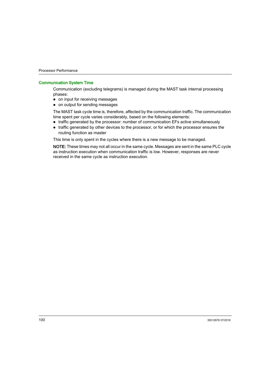#### Communication System Time

Communication (excluding telegrams) is managed during the MAST task internal processing phases:

- on input for receiving messages
- on output for sending messages

The MAST task cycle time is, therefore, affected by the communication traffic. The communication time spent per cycle varies considerably, based on the following elements:

- traffic generated by the processor: number of communication EFs active simultaneously
- traffic generated by other devices to the processor, or for which the processor ensures the routing function as master

This time is only spent in the cycles where there is a new message to be managed.

NOTE: These times may not all occur in the same cycle. Messages are sent in the same PLC cycle as instruction execution when communication traffic is low. However, responses are never received in the same cycle as instruction execution.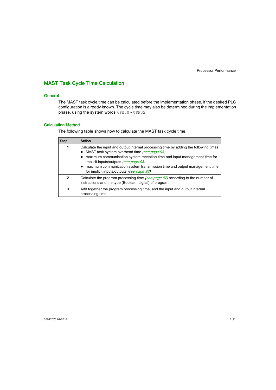# <span id="page-100-0"></span>MAST Task Cycle Time Calculation

#### **General**

The MAST task cycle time can be calculated before the implementation phase, if the desired PLC configuration is already known. The cycle time may also be determined during the implementation phase, using the system words  $85W30 - 85W32$ .

#### Calculation Method

The following table shows how to calculate the MAST task cycle time.

| <b>Step</b> | Action                                                                                                                                                                                                                                                                                                                                                                                 |
|-------------|----------------------------------------------------------------------------------------------------------------------------------------------------------------------------------------------------------------------------------------------------------------------------------------------------------------------------------------------------------------------------------------|
|             | Calculate the input and output internal processing time by adding the following times:<br>MAST task system overhead time (see page 98)<br>maximum communication system reception time and input management time for<br>implicit inputs/outputs (see page 98)<br>maximum communication system transmission time and output management time<br>for implicit inputs/outputs (see page 98) |
| 2           | Calculate the program processing time (see page 97) according to the number of<br>instructions and the type (Boolean, digital) of program.                                                                                                                                                                                                                                             |
| 3           | Add together the program processing time, and the input and output internal<br>processing time.                                                                                                                                                                                                                                                                                        |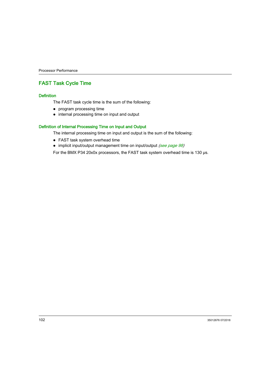# <span id="page-101-0"></span>FAST Task Cycle Time

#### **Definition**

The FAST task cycle time is the sum of the following:

- program processing time
- internal processing time on input and output

#### Definition of Internal Processing Time on Input and Output

The internal processing time on input and output is the sum of the following:

- FAST task system overhead time
- implicit input/output management time on input/output [\(see](#page-97-2) page 98)

For the BMX P34 20x0x processors, the FAST task system overhead time is 130 μs.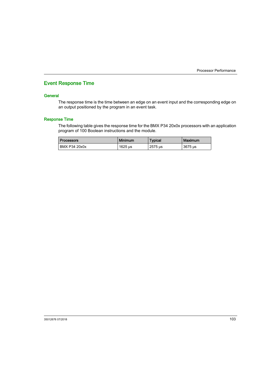### <span id="page-102-1"></span><span id="page-102-0"></span>Event Response Time

#### **General**

The response time is the time between an edge on an event input and the corresponding edge on an output positioned by the program in an event task.

#### Response Time

The following table gives the response time for the BMX P34 20x0x processors with an application program of 100 Boolean instructions and the module.

| <b>Processors</b> | <b>Minimum</b>          | <b>Typical</b> | <b>Maximum</b> |
|-------------------|-------------------------|----------------|----------------|
| BMX P34 20x0x     | $1625 \,\mathrm{\mu s}$ | 2575 us        | 3675 us        |